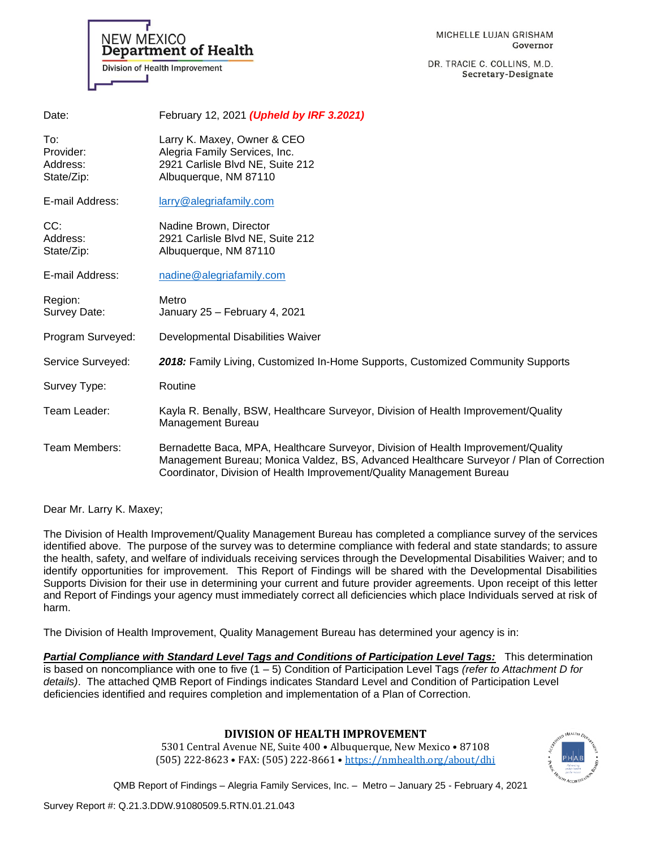MICHELLE LUJAN GRISHAM Governor

DR. TRACIE C. COLLINS, M.D. Secretary-Designate

| Address:<br>State/Zip:  | 2921 Carlisle Blvd NE, Suite 212<br>Albuguergue, NM 87110                                                                                                                                                                                             |
|-------------------------|-------------------------------------------------------------------------------------------------------------------------------------------------------------------------------------------------------------------------------------------------------|
| E-mail Address:         | nadine@alegriafamily.com                                                                                                                                                                                                                              |
| Region:<br>Survey Date: | Metro<br>January 25 - February 4, 2021                                                                                                                                                                                                                |
| Program Surveyed:       | Developmental Disabilities Waiver                                                                                                                                                                                                                     |
| Service Surveyed:       | 2018: Family Living, Customized In-Home Supports, Customized Community Supports                                                                                                                                                                       |
| Survey Type:            | Routine                                                                                                                                                                                                                                               |
| Team Leader:            | Kayla R. Benally, BSW, Healthcare Surveyor, Division of Health Improvement/Quality<br>Management Bureau                                                                                                                                               |
| Team Members:           | Bernadette Baca, MPA, Healthcare Surveyor, Division of Health Improvement/Quality<br>Management Bureau; Monica Valdez, BS, Advanced Healthcare Surveyor / Plan of Correction<br>Coordinator, Division of Health Improvement/Quality Management Bureau |

Dear Mr. Larry K. Maxey;

The Division of Health Improvement/Quality Management Bureau has completed a compliance survey of the services identified above. The purpose of the survey was to determine compliance with federal and state standards; to assure the health, safety, and welfare of individuals receiving services through the Developmental Disabilities Waiver; and to identify opportunities for improvement. This Report of Findings will be shared with the Developmental Disabilities Supports Division for their use in determining your current and future provider agreements. Upon receipt of this letter and Report of Findings your agency must immediately correct all deficiencies which place Individuals served at risk of harm.

The Division of Health Improvement, Quality Management Bureau has determined your agency is in:

*Partial Compliance with Standard Level Tags and Conditions of Participation Level Tags:* This determination is based on noncompliance with one to five (1 – 5) Condition of Participation Level Tags *(refer to Attachment D for details)*. The attached QMB Report of Findings indicates Standard Level and Condition of Participation Level deficiencies identified and requires completion and implementation of a Plan of Correction.

# **DIVISION OF HEALTH IMPROVEMENT**

5301 Central Avenue NE, Suite 400 • Albuquerque, New Mexico • 87108 (505) 222-8623 • FAX: (505) 222-8661 • <https://nmhealth.org/about/dhi>

QMB Report of Findings – Alegria Family Services, Inc. – Metro – January 25 - February 4, 2021



**Department of Health** 

Division of Health Improvement

NEW MEXICO

State/Zip: Albuquerque, NM 87110

E-mail Address: [larry@alegriafamily.com](mailto:larry@alegriafamily.com)

CC: Nadine Brown, Director

To: Larry K. Maxey, Owner & CEO Provider: Alegria Family Services, Inc. Address: 2921 Carlisle Blvd NE, Suite 212

Date: February 12, 2021 *(Upheld by IRF 3.2021)*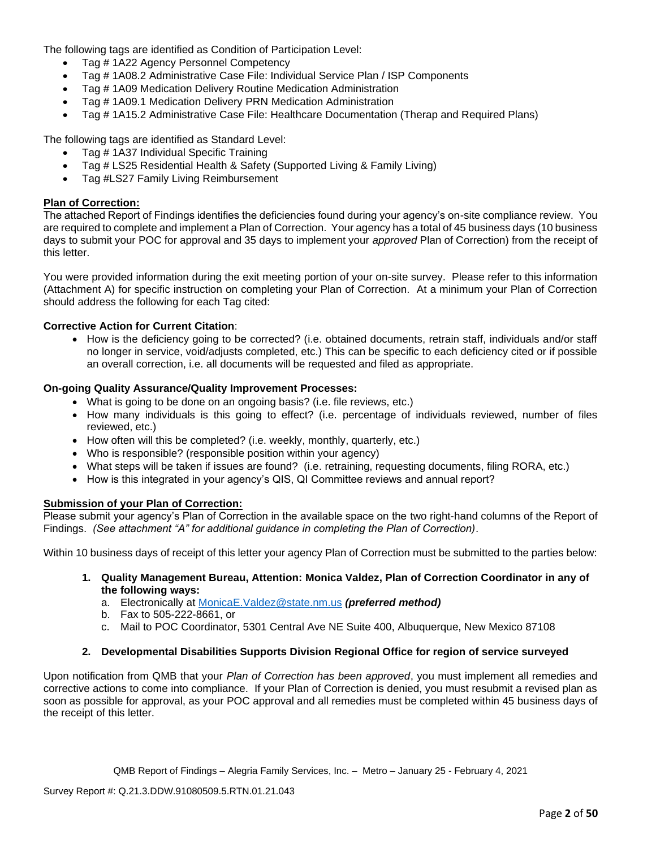The following tags are identified as Condition of Participation Level:

- Tag # 1A22 Agency Personnel Competency
- Tag # 1A08.2 Administrative Case File: Individual Service Plan / ISP Components
- Tag # 1A09 Medication Delivery Routine Medication Administration
- Tag # 1A09.1 Medication Delivery PRN Medication Administration
- Tag # 1A15.2 Administrative Case File: Healthcare Documentation (Therap and Required Plans)

The following tags are identified as Standard Level:

- Tag # 1A37 Individual Specific Training
- Tag # LS25 Residential Health & Safety (Supported Living & Family Living)
- Tag #LS27 Family Living Reimbursement

## **Plan of Correction:**

The attached Report of Findings identifies the deficiencies found during your agency's on-site compliance review. You are required to complete and implement a Plan of Correction. Your agency has a total of 45 business days (10 business days to submit your POC for approval and 35 days to implement your *approved* Plan of Correction) from the receipt of this letter.

You were provided information during the exit meeting portion of your on-site survey. Please refer to this information (Attachment A) for specific instruction on completing your Plan of Correction. At a minimum your Plan of Correction should address the following for each Tag cited:

# **Corrective Action for Current Citation**:

• How is the deficiency going to be corrected? (i.e. obtained documents, retrain staff, individuals and/or staff no longer in service, void/adjusts completed, etc.) This can be specific to each deficiency cited or if possible an overall correction, i.e. all documents will be requested and filed as appropriate.

## **On-going Quality Assurance/Quality Improvement Processes:**

- What is going to be done on an ongoing basis? (i.e. file reviews, etc.)
- How many individuals is this going to effect? (i.e. percentage of individuals reviewed, number of files reviewed, etc.)
- How often will this be completed? (i.e. weekly, monthly, quarterly, etc.)
- Who is responsible? (responsible position within your agency)
- What steps will be taken if issues are found? (i.e. retraining, requesting documents, filing RORA, etc.)
- How is this integrated in your agency's QIS, QI Committee reviews and annual report?

## **Submission of your Plan of Correction:**

Please submit your agency's Plan of Correction in the available space on the two right-hand columns of the Report of Findings. *(See attachment "A" for additional guidance in completing the Plan of Correction)*.

Within 10 business days of receipt of this letter your agency Plan of Correction must be submitted to the parties below:

- **1. Quality Management Bureau, Attention: Monica Valdez, Plan of Correction Coordinator in any of the following ways:**
	- a. Electronically at [MonicaE.Valdez@state.nm.us](mailto:MonicaE.Valdez@state.nm.us) *(preferred method)*
	- b. Fax to 505-222-8661, or
	- c. Mail to POC Coordinator, 5301 Central Ave NE Suite 400, Albuquerque, New Mexico 87108

## **2. Developmental Disabilities Supports Division Regional Office for region of service surveyed**

Upon notification from QMB that your *Plan of Correction has been approved*, you must implement all remedies and corrective actions to come into compliance. If your Plan of Correction is denied, you must resubmit a revised plan as soon as possible for approval, as your POC approval and all remedies must be completed within 45 business days of the receipt of this letter.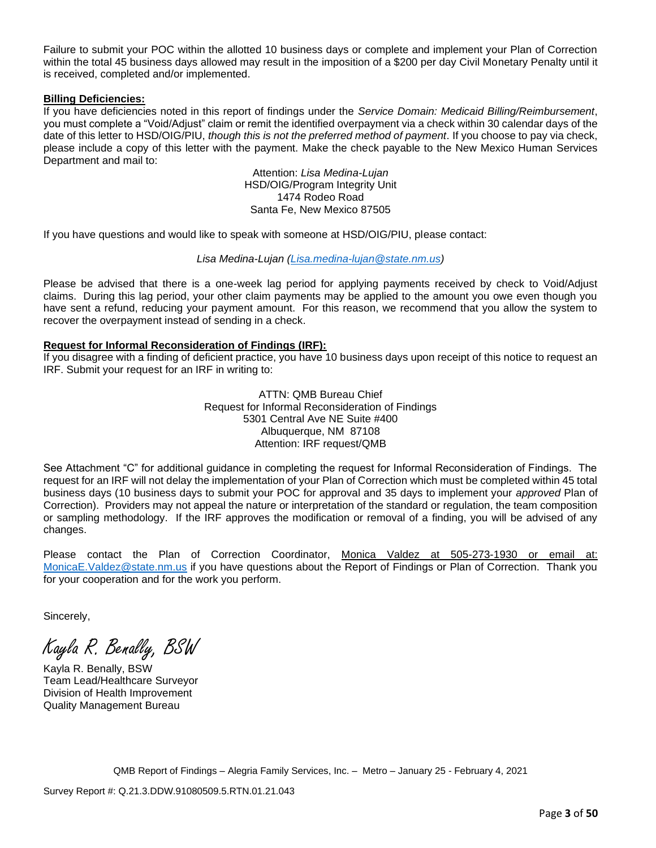Failure to submit your POC within the allotted 10 business days or complete and implement your Plan of Correction within the total 45 business days allowed may result in the imposition of a \$200 per day Civil Monetary Penalty until it is received, completed and/or implemented.

## **Billing Deficiencies:**

If you have deficiencies noted in this report of findings under the *Service Domain: Medicaid Billing/Reimbursement*, you must complete a "Void/Adjust" claim or remit the identified overpayment via a check within 30 calendar days of the date of this letter to HSD/OIG/PIU, *though this is not the preferred method of payment*. If you choose to pay via check, please include a copy of this letter with the payment. Make the check payable to the New Mexico Human Services Department and mail to:

> Attention: *Lisa Medina-Lujan* HSD/OIG/Program Integrity Unit 1474 Rodeo Road Santa Fe, New Mexico 87505

If you have questions and would like to speak with someone at HSD/OIG/PIU, please contact:

## *Lisa Medina-Lujan [\(Lisa.medina-lujan@state.nm.us\)](mailto:Lisa.medina-lujan@state.nm.us)*

Please be advised that there is a one-week lag period for applying payments received by check to Void/Adjust claims. During this lag period, your other claim payments may be applied to the amount you owe even though you have sent a refund, reducing your payment amount. For this reason, we recommend that you allow the system to recover the overpayment instead of sending in a check.

# **Request for Informal Reconsideration of Findings (IRF):**

If you disagree with a finding of deficient practice, you have 10 business days upon receipt of this notice to request an IRF. Submit your request for an IRF in writing to:

> ATTN: QMB Bureau Chief Request for Informal Reconsideration of Findings 5301 Central Ave NE Suite #400 Albuquerque, NM 87108 Attention: IRF request/QMB

See Attachment "C" for additional guidance in completing the request for Informal Reconsideration of Findings. The request for an IRF will not delay the implementation of your Plan of Correction which must be completed within 45 total business days (10 business days to submit your POC for approval and 35 days to implement your *approved* Plan of Correction). Providers may not appeal the nature or interpretation of the standard or regulation, the team composition or sampling methodology. If the IRF approves the modification or removal of a finding, you will be advised of any changes.

Please contact the Plan of Correction Coordinator, Monica Valdez at 505-273-1930 or email at: [MonicaE.Valdez@state.nm.us](mailto:MonicaE.Valdez@state.nm.us) if you have questions about the Report of Findings or Plan of Correction. Thank you for your cooperation and for the work you perform.

Sincerely,

Kayla R. Benally, BSW

Kayla R. Benally, BSW Team Lead/Healthcare Surveyor Division of Health Improvement Quality Management Bureau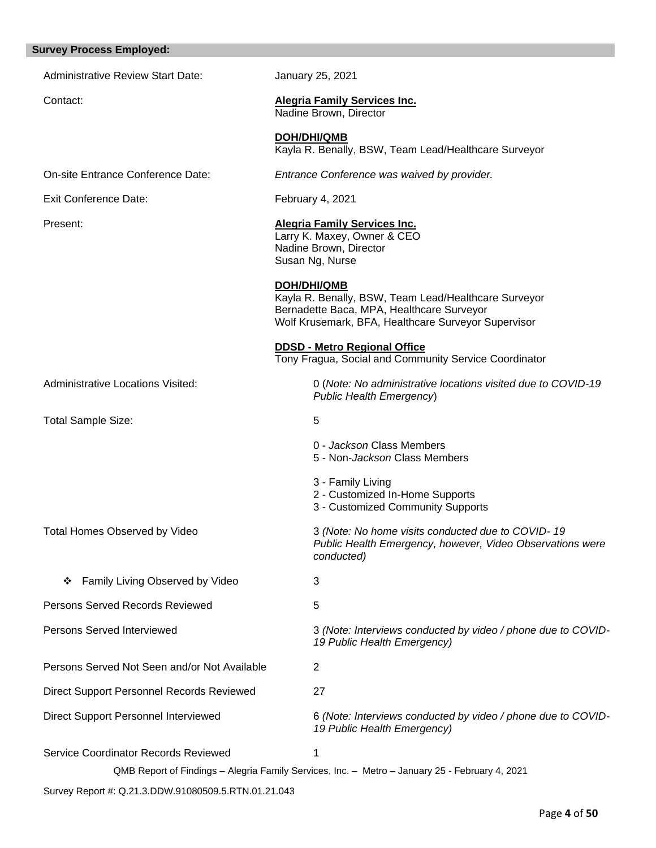# **Survey Process Employed:**  Administrative Review Start Date: January 25, 2021 Contact: **Alegria Family Services Inc.** Nadine Brown, Director **DOH/DHI/QMB** Kayla R. Benally, BSW, Team Lead/Healthcare Surveyor On-site Entrance Conference Date: *Entrance Conference was waived by provider.* Exit Conference Date: February 4, 2021 Present: **Alegria Family Services Inc.**  Larry K. Maxey, Owner & CEO Nadine Brown, Director Susan Ng, Nurse **DOH/DHI/QMB** Kayla R. Benally, BSW, Team Lead/Healthcare Surveyor Bernadette Baca, MPA, Healthcare Surveyor Wolf Krusemark, BFA, Healthcare Surveyor Supervisor **DDSD - Metro Regional Office**  Tony Fragua, Social and Community Service Coordinator Administrative Locations Visited: 0 (*Note: No administrative locations visited due to COVID-19 Public Health Emergency*) Total Sample Size: 5 0 - *Jackson* Class Members 5 - Non-*Jackson* Class Members 3 - Family Living 2 - Customized In-Home Supports 3 - Customized Community Supports Total Homes Observed by Video 3 *(Note: No home visits conducted due to COVID- 19 Public Health Emergency, however, Video Observations were conducted)* ❖ Family Living Observed by Video 3 **Persons Served Records Reviewed 5** Persons Served Interviewed 3 *(Note: Interviews conducted by video / phone due to COVID-19 Public Health Emergency)* Persons Served Not Seen and/or Not Available 2 Direct Support Personnel Records Reviewed 27 Direct Support Personnel Interviewed **6** (Note: Interviews conducted by video / phone due to COVID-*19 Public Health Emergency)* Service Coordinator Records Reviewed 1

QMB Report of Findings – Alegria Family Services, Inc. – Metro – January 25 - February 4, 2021

Survey Report #: Q.21.3.DDW.91080509.5.RTN.01.21.043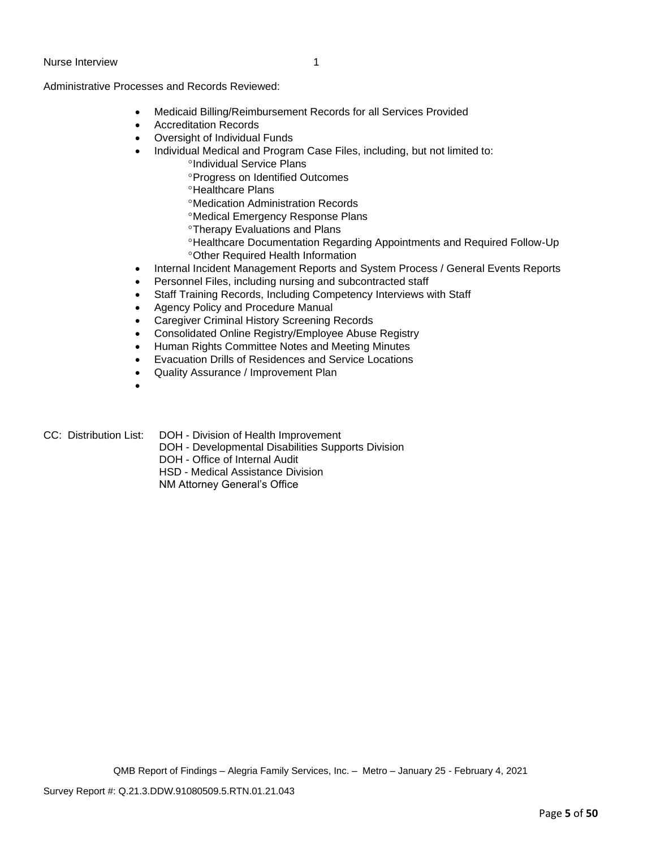Administrative Processes and Records Reviewed:

- Medicaid Billing/Reimbursement Records for all Services Provided
- Accreditation Records
- Oversight of Individual Funds
- Individual Medical and Program Case Files, including, but not limited to:
	- *<sup>o</sup>Individual Service Plans* 
		- Progress on Identified Outcomes
		- <sup>o</sup>Healthcare Plans
		- Medication Administration Records
		- Medical Emergency Response Plans
		- **Therapy Evaluations and Plans**
		- Healthcare Documentation Regarding Appointments and Required Follow-Up Other Required Health Information
- Internal Incident Management Reports and System Process / General Events Reports
- Personnel Files, including nursing and subcontracted staff
- Staff Training Records, Including Competency Interviews with Staff
- Agency Policy and Procedure Manual
- Caregiver Criminal History Screening Records
- Consolidated Online Registry/Employee Abuse Registry
- Human Rights Committee Notes and Meeting Minutes
- Evacuation Drills of Residences and Service Locations
- Quality Assurance / Improvement Plan
- •
- CC: Distribution List: DOH Division of Health Improvement
	- DOH Developmental Disabilities Supports Division
	- DOH Office of Internal Audit
	- HSD Medical Assistance Division
	- NM Attorney General's Office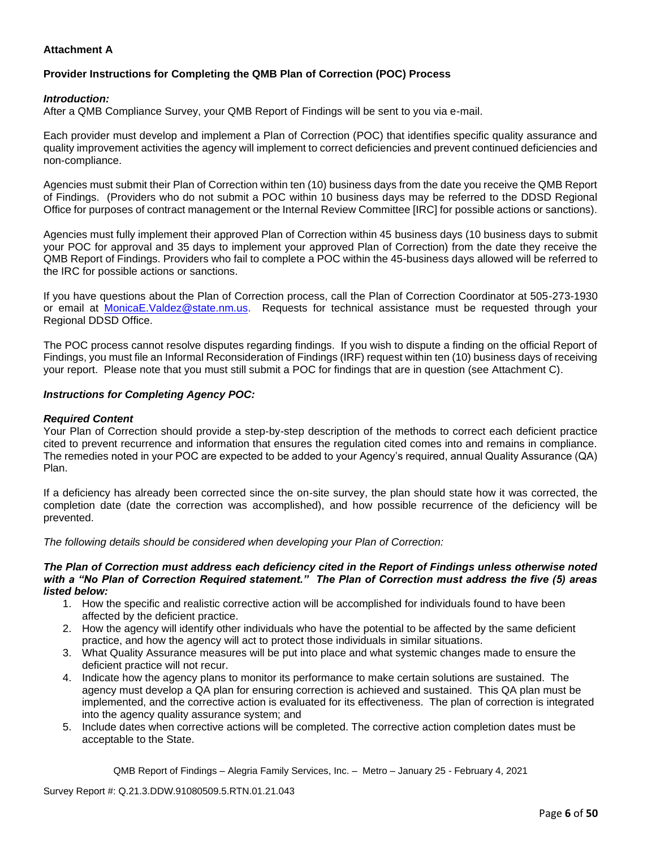# **Attachment A**

# **Provider Instructions for Completing the QMB Plan of Correction (POC) Process**

## *Introduction:*

After a QMB Compliance Survey, your QMB Report of Findings will be sent to you via e-mail.

Each provider must develop and implement a Plan of Correction (POC) that identifies specific quality assurance and quality improvement activities the agency will implement to correct deficiencies and prevent continued deficiencies and non-compliance.

Agencies must submit their Plan of Correction within ten (10) business days from the date you receive the QMB Report of Findings. (Providers who do not submit a POC within 10 business days may be referred to the DDSD Regional Office for purposes of contract management or the Internal Review Committee [IRC] for possible actions or sanctions).

Agencies must fully implement their approved Plan of Correction within 45 business days (10 business days to submit your POC for approval and 35 days to implement your approved Plan of Correction) from the date they receive the QMB Report of Findings. Providers who fail to complete a POC within the 45-business days allowed will be referred to the IRC for possible actions or sanctions.

If you have questions about the Plan of Correction process, call the Plan of Correction Coordinator at 505-273-1930 or email at [MonicaE.Valdez@state.nm.us.](mailto:MonicaE.Valdez@state.nm.us) Requests for technical assistance must be requested through your Regional DDSD Office.

The POC process cannot resolve disputes regarding findings. If you wish to dispute a finding on the official Report of Findings, you must file an Informal Reconsideration of Findings (IRF) request within ten (10) business days of receiving your report. Please note that you must still submit a POC for findings that are in question (see Attachment C).

## *Instructions for Completing Agency POC:*

## *Required Content*

Your Plan of Correction should provide a step-by-step description of the methods to correct each deficient practice cited to prevent recurrence and information that ensures the regulation cited comes into and remains in compliance. The remedies noted in your POC are expected to be added to your Agency's required, annual Quality Assurance (QA) Plan.

If a deficiency has already been corrected since the on-site survey, the plan should state how it was corrected, the completion date (date the correction was accomplished), and how possible recurrence of the deficiency will be prevented.

*The following details should be considered when developing your Plan of Correction:*

#### *The Plan of Correction must address each deficiency cited in the Report of Findings unless otherwise noted with a "No Plan of Correction Required statement." The Plan of Correction must address the five (5) areas listed below:*

- 1. How the specific and realistic corrective action will be accomplished for individuals found to have been affected by the deficient practice.
- 2. How the agency will identify other individuals who have the potential to be affected by the same deficient practice, and how the agency will act to protect those individuals in similar situations.
- 3. What Quality Assurance measures will be put into place and what systemic changes made to ensure the deficient practice will not recur.
- 4. Indicate how the agency plans to monitor its performance to make certain solutions are sustained. The agency must develop a QA plan for ensuring correction is achieved and sustained. This QA plan must be implemented, and the corrective action is evaluated for its effectiveness. The plan of correction is integrated into the agency quality assurance system; and
- 5. Include dates when corrective actions will be completed. The corrective action completion dates must be acceptable to the State.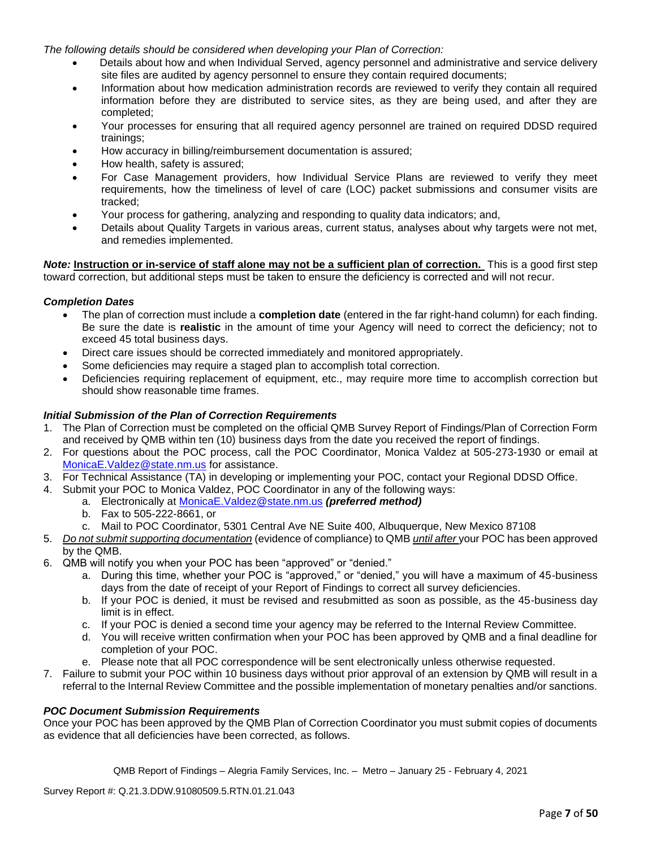*The following details should be considered when developing your Plan of Correction:*

- Details about how and when Individual Served, agency personnel and administrative and service delivery site files are audited by agency personnel to ensure they contain required documents;
- Information about how medication administration records are reviewed to verify they contain all required information before they are distributed to service sites, as they are being used, and after they are completed;
- Your processes for ensuring that all required agency personnel are trained on required DDSD required trainings;
- How accuracy in billing/reimbursement documentation is assured;
- How health, safety is assured;
- For Case Management providers, how Individual Service Plans are reviewed to verify they meet requirements, how the timeliness of level of care (LOC) packet submissions and consumer visits are tracked;
- Your process for gathering, analyzing and responding to quality data indicators; and,
- Details about Quality Targets in various areas, current status, analyses about why targets were not met, and remedies implemented.

*Note:* **Instruction or in-service of staff alone may not be a sufficient plan of correction.** This is a good first step toward correction, but additional steps must be taken to ensure the deficiency is corrected and will not recur.

## *Completion Dates*

- The plan of correction must include a **completion date** (entered in the far right-hand column) for each finding. Be sure the date is **realistic** in the amount of time your Agency will need to correct the deficiency; not to exceed 45 total business days.
- Direct care issues should be corrected immediately and monitored appropriately.
- Some deficiencies may require a staged plan to accomplish total correction.
- Deficiencies requiring replacement of equipment, etc., may require more time to accomplish correction but should show reasonable time frames.

# *Initial Submission of the Plan of Correction Requirements*

- 1. The Plan of Correction must be completed on the official QMB Survey Report of Findings/Plan of Correction Form and received by QMB within ten (10) business days from the date you received the report of findings.
- 2. For questions about the POC process, call the POC Coordinator, Monica Valdez at 505-273-1930 or email at [MonicaE.Valdez@state.nm.us](mailto:MonicaE.Valdez@state.nm.us) for assistance.
- 3. For Technical Assistance (TA) in developing or implementing your POC, contact your Regional DDSD Office.
- 4. Submit your POC to Monica Valdez, POC Coordinator in any of the following ways:
	- a. Electronically at [MonicaE.Valdez@state.nm.us](mailto:MonicaE.Valdez@state.nm.us) *(preferred method)*
	- b. Fax to 505-222-8661, or
	- c. Mail to POC Coordinator, 5301 Central Ave NE Suite 400, Albuquerque, New Mexico 87108
- 5. *Do not submit supporting documentation* (evidence of compliance) to QMB *until after* your POC has been approved by the QMB.
- 6. QMB will notify you when your POC has been "approved" or "denied."
	- a. During this time, whether your POC is "approved," or "denied," you will have a maximum of 45-business days from the date of receipt of your Report of Findings to correct all survey deficiencies.
	- b. If your POC is denied, it must be revised and resubmitted as soon as possible, as the 45-business day limit is in effect.
	- c. If your POC is denied a second time your agency may be referred to the Internal Review Committee.
	- d. You will receive written confirmation when your POC has been approved by QMB and a final deadline for completion of your POC.
	- e. Please note that all POC correspondence will be sent electronically unless otherwise requested.
- 7. Failure to submit your POC within 10 business days without prior approval of an extension by QMB will result in a referral to the Internal Review Committee and the possible implementation of monetary penalties and/or sanctions.

## *POC Document Submission Requirements*

Once your POC has been approved by the QMB Plan of Correction Coordinator you must submit copies of documents as evidence that all deficiencies have been corrected, as follows.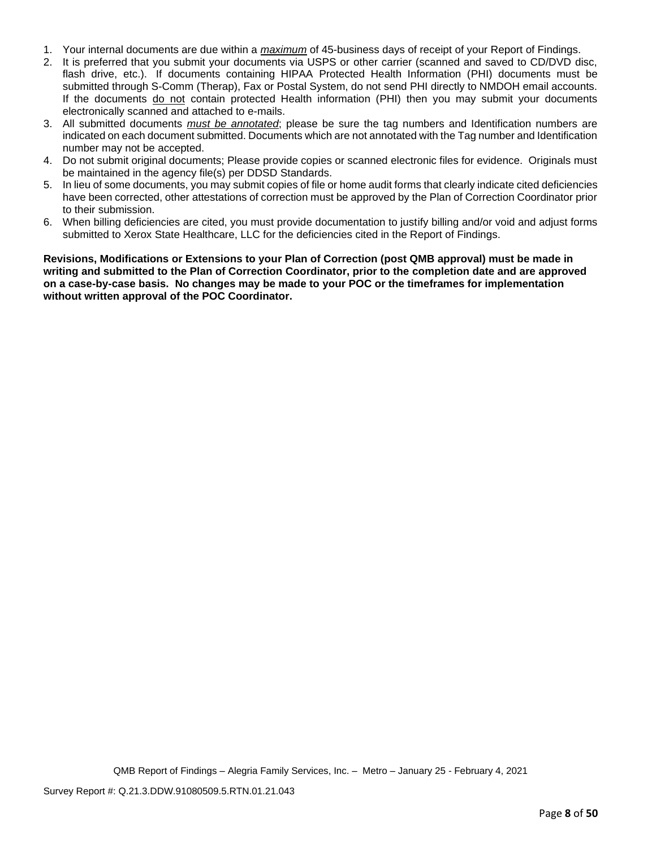- 1. Your internal documents are due within a *maximum* of 45-business days of receipt of your Report of Findings.
- 2. It is preferred that you submit your documents via USPS or other carrier (scanned and saved to CD/DVD disc, flash drive, etc.). If documents containing HIPAA Protected Health Information (PHI) documents must be submitted through S-Comm (Therap), Fax or Postal System, do not send PHI directly to NMDOH email accounts. If the documents do not contain protected Health information (PHI) then you may submit your documents electronically scanned and attached to e-mails.
- 3. All submitted documents *must be annotated*; please be sure the tag numbers and Identification numbers are indicated on each document submitted. Documents which are not annotated with the Tag number and Identification number may not be accepted.
- 4. Do not submit original documents; Please provide copies or scanned electronic files for evidence. Originals must be maintained in the agency file(s) per DDSD Standards.
- 5. In lieu of some documents, you may submit copies of file or home audit forms that clearly indicate cited deficiencies have been corrected, other attestations of correction must be approved by the Plan of Correction Coordinator prior to their submission.
- 6. When billing deficiencies are cited, you must provide documentation to justify billing and/or void and adjust forms submitted to Xerox State Healthcare, LLC for the deficiencies cited in the Report of Findings.

**Revisions, Modifications or Extensions to your Plan of Correction (post QMB approval) must be made in writing and submitted to the Plan of Correction Coordinator, prior to the completion date and are approved on a case-by-case basis. No changes may be made to your POC or the timeframes for implementation without written approval of the POC Coordinator.**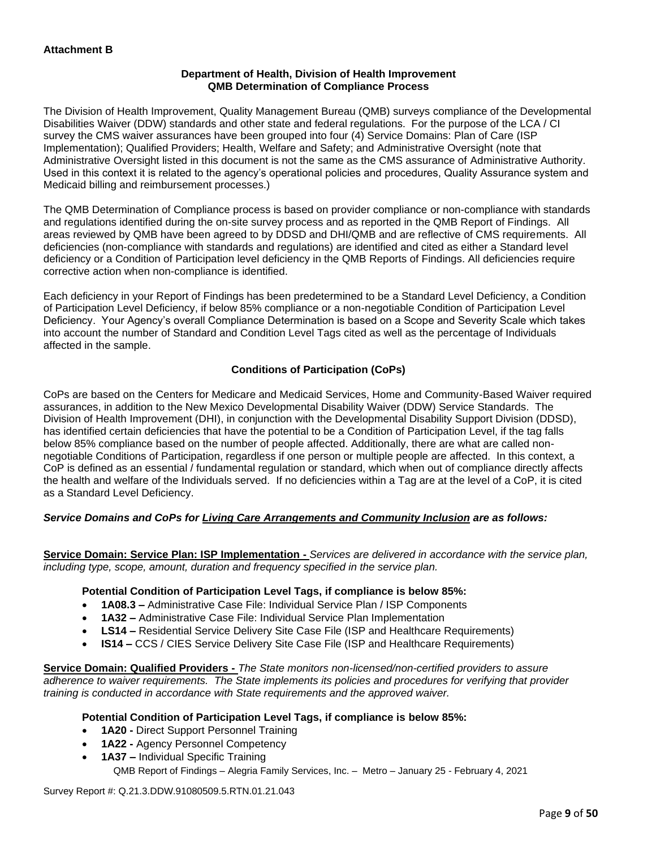# **Department of Health, Division of Health Improvement QMB Determination of Compliance Process**

The Division of Health Improvement, Quality Management Bureau (QMB) surveys compliance of the Developmental Disabilities Waiver (DDW) standards and other state and federal regulations. For the purpose of the LCA / CI survey the CMS waiver assurances have been grouped into four (4) Service Domains: Plan of Care (ISP Implementation); Qualified Providers; Health, Welfare and Safety; and Administrative Oversight (note that Administrative Oversight listed in this document is not the same as the CMS assurance of Administrative Authority. Used in this context it is related to the agency's operational policies and procedures, Quality Assurance system and Medicaid billing and reimbursement processes.)

The QMB Determination of Compliance process is based on provider compliance or non-compliance with standards and regulations identified during the on-site survey process and as reported in the QMB Report of Findings. All areas reviewed by QMB have been agreed to by DDSD and DHI/QMB and are reflective of CMS requirements. All deficiencies (non-compliance with standards and regulations) are identified and cited as either a Standard level deficiency or a Condition of Participation level deficiency in the QMB Reports of Findings. All deficiencies require corrective action when non-compliance is identified.

Each deficiency in your Report of Findings has been predetermined to be a Standard Level Deficiency, a Condition of Participation Level Deficiency, if below 85% compliance or a non-negotiable Condition of Participation Level Deficiency. Your Agency's overall Compliance Determination is based on a Scope and Severity Scale which takes into account the number of Standard and Condition Level Tags cited as well as the percentage of Individuals affected in the sample.

# **Conditions of Participation (CoPs)**

CoPs are based on the Centers for Medicare and Medicaid Services, Home and Community-Based Waiver required assurances, in addition to the New Mexico Developmental Disability Waiver (DDW) Service Standards. The Division of Health Improvement (DHI), in conjunction with the Developmental Disability Support Division (DDSD), has identified certain deficiencies that have the potential to be a Condition of Participation Level, if the tag falls below 85% compliance based on the number of people affected. Additionally, there are what are called nonnegotiable Conditions of Participation, regardless if one person or multiple people are affected. In this context, a CoP is defined as an essential / fundamental regulation or standard, which when out of compliance directly affects the health and welfare of the Individuals served. If no deficiencies within a Tag are at the level of a CoP, it is cited as a Standard Level Deficiency.

# *Service Domains and CoPs for Living Care Arrangements and Community Inclusion are as follows:*

**Service Domain: Service Plan: ISP Implementation -** *Services are delivered in accordance with the service plan, including type, scope, amount, duration and frequency specified in the service plan.*

## **Potential Condition of Participation Level Tags, if compliance is below 85%:**

- **1A08.3 –** Administrative Case File: Individual Service Plan / ISP Components
- **1A32 –** Administrative Case File: Individual Service Plan Implementation
- **LS14 –** Residential Service Delivery Site Case File (ISP and Healthcare Requirements)
- **IS14 –** CCS / CIES Service Delivery Site Case File (ISP and Healthcare Requirements)

**Service Domain: Qualified Providers -** *The State monitors non-licensed/non-certified providers to assure adherence to waiver requirements. The State implements its policies and procedures for verifying that provider training is conducted in accordance with State requirements and the approved waiver.*

## **Potential Condition of Participation Level Tags, if compliance is below 85%:**

- **1A20 -** Direct Support Personnel Training
- **1A22 -** Agency Personnel Competency
- QMB Report of Findings Alegria Family Services, Inc. Metro January 25 February 4, 2021 • **1A37 –** Individual Specific Training

Survey Report #: Q.21.3.DDW.91080509.5.RTN.01.21.043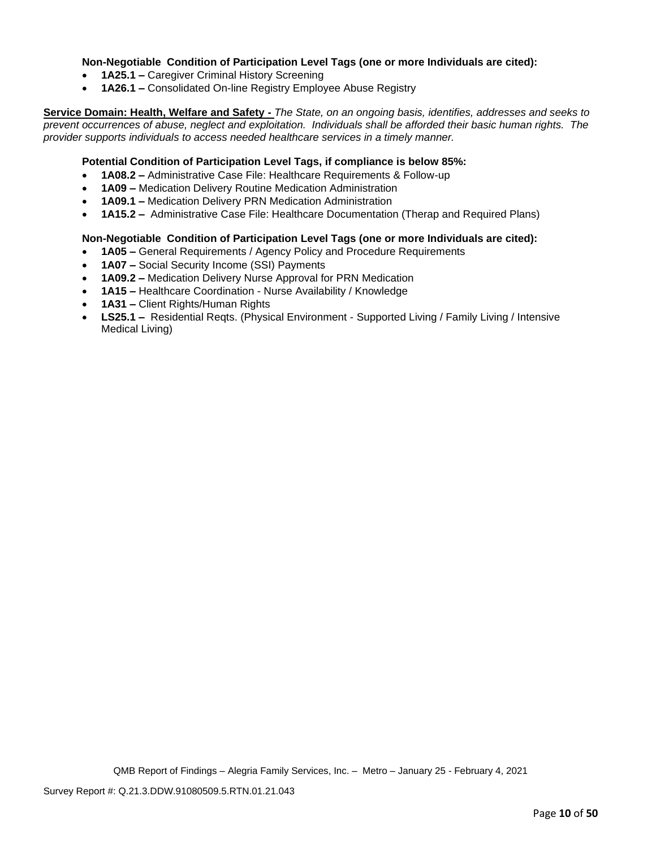## **Non-Negotiable Condition of Participation Level Tags (one or more Individuals are cited):**

- **1A25.1 –** Caregiver Criminal History Screening
- **1A26.1 –** Consolidated On-line Registry Employee Abuse Registry

**Service Domain: Health, Welfare and Safety -** *The State, on an ongoing basis, identifies, addresses and seeks to prevent occurrences of abuse, neglect and exploitation. Individuals shall be afforded their basic human rights. The provider supports individuals to access needed healthcare services in a timely manner.*

## **Potential Condition of Participation Level Tags, if compliance is below 85%:**

- **1A08.2 –** Administrative Case File: Healthcare Requirements & Follow-up
- **1A09 –** Medication Delivery Routine Medication Administration
- **1A09.1 –** Medication Delivery PRN Medication Administration
- **1A15.2 –** Administrative Case File: Healthcare Documentation (Therap and Required Plans)

## **Non-Negotiable Condition of Participation Level Tags (one or more Individuals are cited):**

- **1A05 –** General Requirements / Agency Policy and Procedure Requirements
- **1A07 –** Social Security Income (SSI) Payments
- **1A09.2 –** Medication Delivery Nurse Approval for PRN Medication
- **1A15 –** Healthcare Coordination Nurse Availability / Knowledge
- **1A31 –** Client Rights/Human Rights
- **LS25.1 –** Residential Reqts. (Physical Environment Supported Living / Family Living / Intensive Medical Living)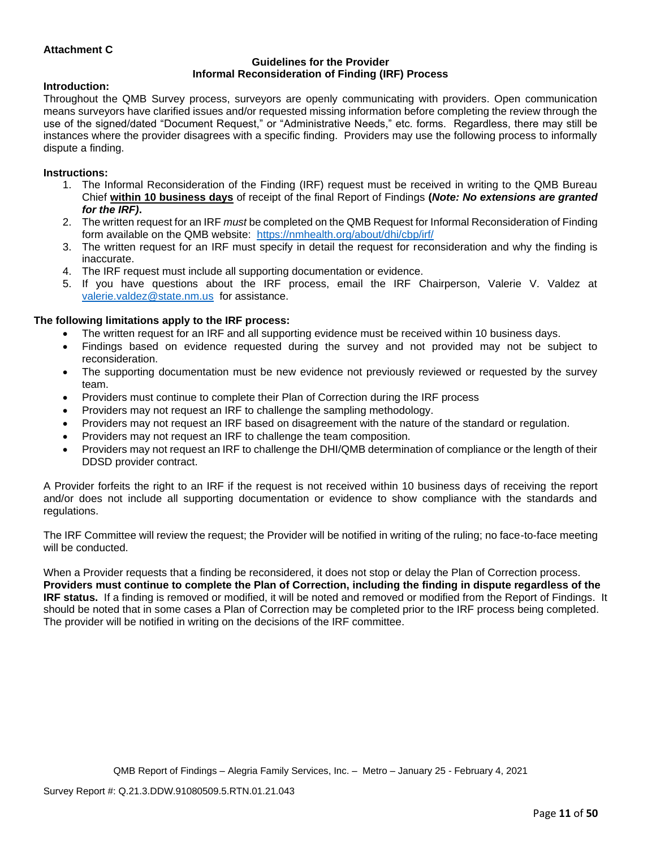# **Attachment C**

#### **Guidelines for the Provider Informal Reconsideration of Finding (IRF) Process**

#### **Introduction:**

Throughout the QMB Survey process, surveyors are openly communicating with providers. Open communication means surveyors have clarified issues and/or requested missing information before completing the review through the use of the signed/dated "Document Request," or "Administrative Needs," etc. forms. Regardless, there may still be instances where the provider disagrees with a specific finding. Providers may use the following process to informally dispute a finding.

#### **Instructions:**

- 1. The Informal Reconsideration of the Finding (IRF) request must be received in writing to the QMB Bureau Chief **within 10 business days** of receipt of the final Report of Findings **(***Note: No extensions are granted for the IRF)***.**
- 2. The written request for an IRF *must* be completed on the QMB Request for Informal Reconsideration of Finding form available on the QMB website: <https://nmhealth.org/about/dhi/cbp/irf/>
- 3. The written request for an IRF must specify in detail the request for reconsideration and why the finding is inaccurate.
- 4. The IRF request must include all supporting documentation or evidence.
- 5. If you have questions about the IRF process, email the IRF Chairperson, Valerie V. Valdez at [valerie.valdez@state.nm.us](mailto:valerie.valdez@state.nm.us) for assistance.

#### **The following limitations apply to the IRF process:**

- The written request for an IRF and all supporting evidence must be received within 10 business days.
- Findings based on evidence requested during the survey and not provided may not be subject to reconsideration.
- The supporting documentation must be new evidence not previously reviewed or requested by the survey team.
- Providers must continue to complete their Plan of Correction during the IRF process
- Providers may not request an IRF to challenge the sampling methodology.
- Providers may not request an IRF based on disagreement with the nature of the standard or regulation.
- Providers may not request an IRF to challenge the team composition.
- Providers may not request an IRF to challenge the DHI/QMB determination of compliance or the length of their DDSD provider contract.

A Provider forfeits the right to an IRF if the request is not received within 10 business days of receiving the report and/or does not include all supporting documentation or evidence to show compliance with the standards and regulations.

The IRF Committee will review the request; the Provider will be notified in writing of the ruling; no face-to-face meeting will be conducted.

When a Provider requests that a finding be reconsidered, it does not stop or delay the Plan of Correction process. **Providers must continue to complete the Plan of Correction, including the finding in dispute regardless of the IRF status.** If a finding is removed or modified, it will be noted and removed or modified from the Report of Findings. It should be noted that in some cases a Plan of Correction may be completed prior to the IRF process being completed. The provider will be notified in writing on the decisions of the IRF committee.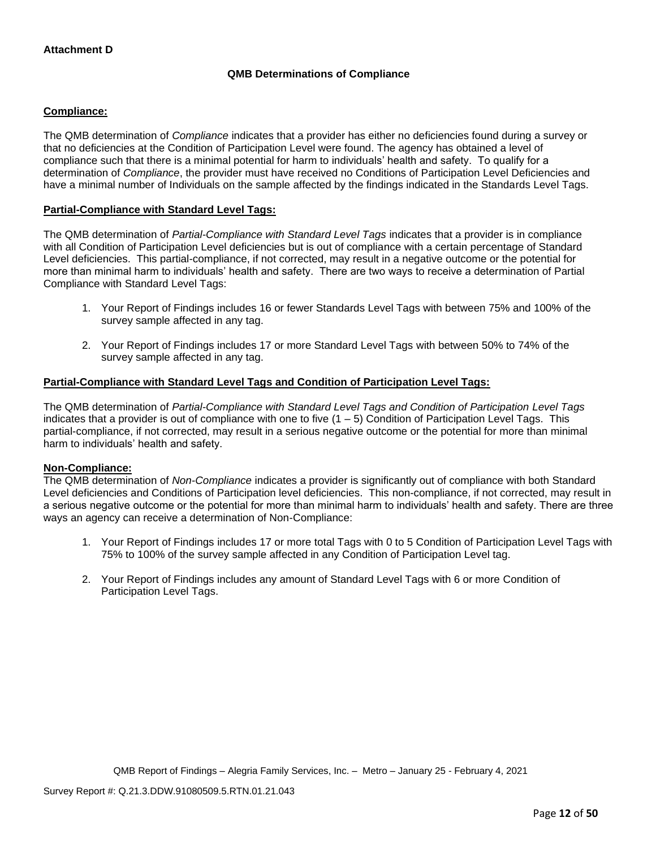# **QMB Determinations of Compliance**

# **Compliance:**

The QMB determination of *Compliance* indicates that a provider has either no deficiencies found during a survey or that no deficiencies at the Condition of Participation Level were found. The agency has obtained a level of compliance such that there is a minimal potential for harm to individuals' health and safety. To qualify for a determination of *Compliance*, the provider must have received no Conditions of Participation Level Deficiencies and have a minimal number of Individuals on the sample affected by the findings indicated in the Standards Level Tags.

## **Partial-Compliance with Standard Level Tags:**

The QMB determination of *Partial-Compliance with Standard Level Tags* indicates that a provider is in compliance with all Condition of Participation Level deficiencies but is out of compliance with a certain percentage of Standard Level deficiencies. This partial-compliance, if not corrected, may result in a negative outcome or the potential for more than minimal harm to individuals' health and safety. There are two ways to receive a determination of Partial Compliance with Standard Level Tags:

- 1. Your Report of Findings includes 16 or fewer Standards Level Tags with between 75% and 100% of the survey sample affected in any tag.
- 2. Your Report of Findings includes 17 or more Standard Level Tags with between 50% to 74% of the survey sample affected in any tag.

# **Partial-Compliance with Standard Level Tags and Condition of Participation Level Tags:**

The QMB determination of *Partial-Compliance with Standard Level Tags and Condition of Participation Level Tags*  indicates that a provider is out of compliance with one to five  $(1 - 5)$  Condition of Participation Level Tags. This partial-compliance, if not corrected, may result in a serious negative outcome or the potential for more than minimal harm to individuals' health and safety.

## **Non-Compliance:**

The QMB determination of *Non-Compliance* indicates a provider is significantly out of compliance with both Standard Level deficiencies and Conditions of Participation level deficiencies. This non-compliance, if not corrected, may result in a serious negative outcome or the potential for more than minimal harm to individuals' health and safety. There are three ways an agency can receive a determination of Non-Compliance:

- 1. Your Report of Findings includes 17 or more total Tags with 0 to 5 Condition of Participation Level Tags with 75% to 100% of the survey sample affected in any Condition of Participation Level tag.
- 2. Your Report of Findings includes any amount of Standard Level Tags with 6 or more Condition of Participation Level Tags.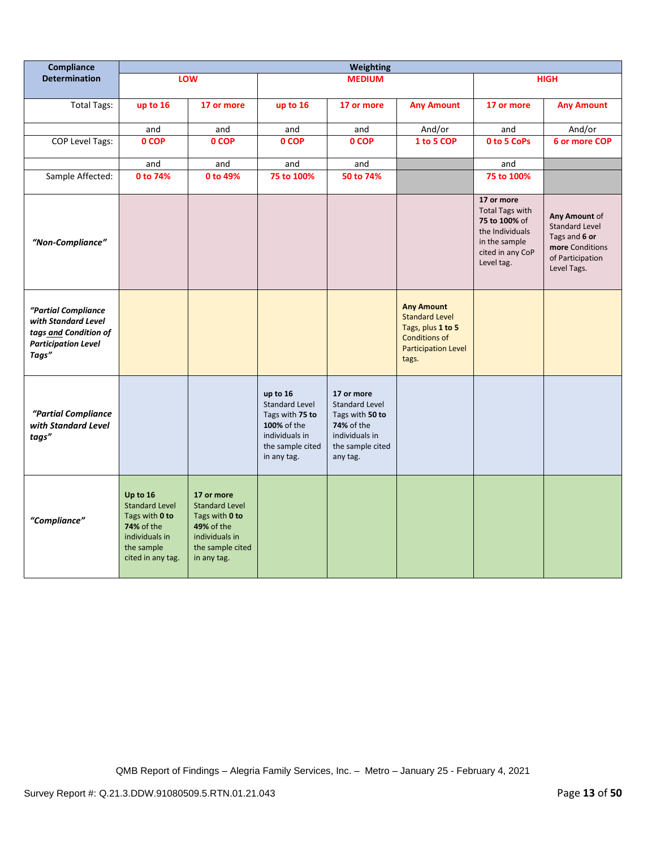| Compliance                                                                                                 | Weighting                                                                                                                     |                                                                                                                                 |                                                                                                                          |                                                                                                                        |                                                                                                                                |                                                                                                                             |                                                                                                               |
|------------------------------------------------------------------------------------------------------------|-------------------------------------------------------------------------------------------------------------------------------|---------------------------------------------------------------------------------------------------------------------------------|--------------------------------------------------------------------------------------------------------------------------|------------------------------------------------------------------------------------------------------------------------|--------------------------------------------------------------------------------------------------------------------------------|-----------------------------------------------------------------------------------------------------------------------------|---------------------------------------------------------------------------------------------------------------|
| <b>Determination</b>                                                                                       |                                                                                                                               | LOW                                                                                                                             |                                                                                                                          | <b>MEDIUM</b>                                                                                                          |                                                                                                                                |                                                                                                                             | <b>HIGH</b>                                                                                                   |
| <b>Total Tags:</b>                                                                                         | up to 16                                                                                                                      | 17 or more                                                                                                                      | up to 16                                                                                                                 | 17 or more                                                                                                             | <b>Any Amount</b>                                                                                                              | 17 or more                                                                                                                  | <b>Any Amount</b>                                                                                             |
|                                                                                                            | and                                                                                                                           | and                                                                                                                             | and                                                                                                                      | and                                                                                                                    | And/or                                                                                                                         | and                                                                                                                         | And/or                                                                                                        |
| COP Level Tags:                                                                                            | 0 COP                                                                                                                         | 0 COP                                                                                                                           | 0 COP                                                                                                                    | 0 COP                                                                                                                  | 1 to 5 COP                                                                                                                     | 0 to 5 CoPs                                                                                                                 | 6 or more COP                                                                                                 |
|                                                                                                            | and                                                                                                                           | and                                                                                                                             | and                                                                                                                      | and                                                                                                                    |                                                                                                                                | and                                                                                                                         |                                                                                                               |
| Sample Affected:                                                                                           | 0 to 74%                                                                                                                      | 0 to 49%                                                                                                                        | 75 to 100%                                                                                                               | 50 to 74%                                                                                                              |                                                                                                                                | 75 to 100%                                                                                                                  |                                                                                                               |
| "Non-Compliance"                                                                                           |                                                                                                                               |                                                                                                                                 |                                                                                                                          |                                                                                                                        |                                                                                                                                | 17 or more<br><b>Total Tags with</b><br>75 to 100% of<br>the Individuals<br>in the sample<br>cited in any CoP<br>Level tag. | Any Amount of<br><b>Standard Level</b><br>Tags and 6 or<br>more Conditions<br>of Participation<br>Level Tags. |
| "Partial Compliance<br>with Standard Level<br>tags and Condition of<br><b>Participation Level</b><br>Tags" |                                                                                                                               |                                                                                                                                 |                                                                                                                          |                                                                                                                        | <b>Any Amount</b><br><b>Standard Level</b><br>Tags, plus 1 to 5<br><b>Conditions of</b><br><b>Participation Level</b><br>tags. |                                                                                                                             |                                                                                                               |
| "Partial Compliance<br>with Standard Level<br>tags"                                                        |                                                                                                                               |                                                                                                                                 | up to 16<br><b>Standard Level</b><br>Tags with 75 to<br>100% of the<br>individuals in<br>the sample cited<br>in any tag. | 17 or more<br>Standard Level<br>Tags with 50 to<br><b>74%</b> of the<br>individuals in<br>the sample cited<br>any tag. |                                                                                                                                |                                                                                                                             |                                                                                                               |
| "Compliance"                                                                                               | Up to 16<br><b>Standard Level</b><br>Tags with 0 to<br><b>74% of the</b><br>individuals in<br>the sample<br>cited in any tag. | 17 or more<br><b>Standard Level</b><br>Tags with 0 to<br><b>49% of the</b><br>individuals in<br>the sample cited<br>in any tag. |                                                                                                                          |                                                                                                                        |                                                                                                                                |                                                                                                                             |                                                                                                               |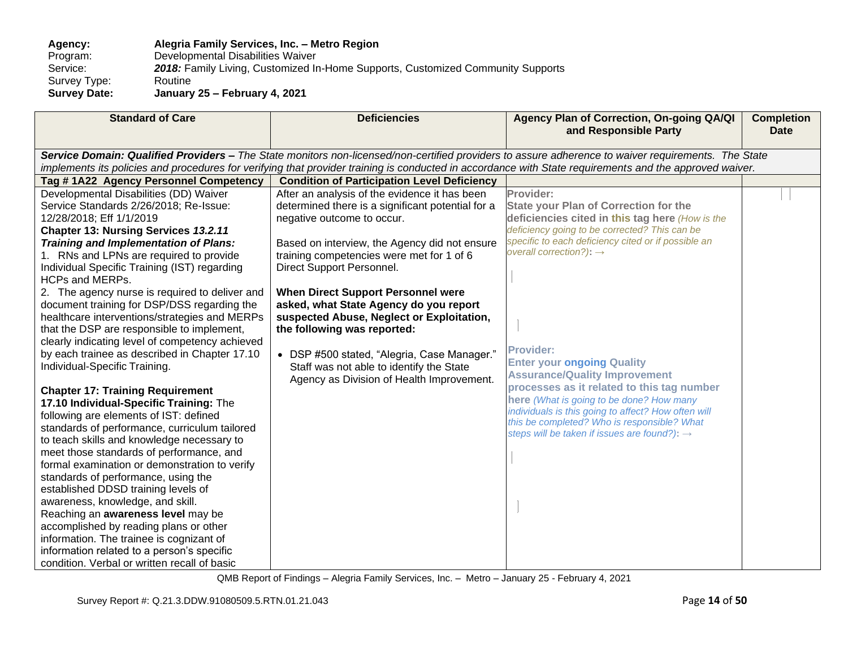Agency: **Alegria Family Services, Inc. - Metro Region**<br>Program: Developmental Disabilities Waiver Program: Developmental Disabilities Waiver<br>Service: 2018: Family Living, Customized In 2018: Family Living, Customized In-Home Supports, Customized Community Supports Routine Survey Type:<br>Survey Date: **Survey Date: January 25 – February 4, 2021**

| <b>Standard of Care</b>                                                                                                                                                                                                                                                                                                                                                                                                                                                                                                                                                                                                                                                                                                                                                                                                                                                                                                                                                                                                                                                                                                                                                                                                                  | <b>Deficiencies</b>                                                                                                                                                                                                                                                                                                                                                                                                                                                                                                                                                    | Agency Plan of Correction, On-going QA/QI<br>and Responsible Party                                                                                                                                                                                                                                                                                                                                                                                                                                                                                                                                                       | <b>Completion</b><br><b>Date</b> |
|------------------------------------------------------------------------------------------------------------------------------------------------------------------------------------------------------------------------------------------------------------------------------------------------------------------------------------------------------------------------------------------------------------------------------------------------------------------------------------------------------------------------------------------------------------------------------------------------------------------------------------------------------------------------------------------------------------------------------------------------------------------------------------------------------------------------------------------------------------------------------------------------------------------------------------------------------------------------------------------------------------------------------------------------------------------------------------------------------------------------------------------------------------------------------------------------------------------------------------------|------------------------------------------------------------------------------------------------------------------------------------------------------------------------------------------------------------------------------------------------------------------------------------------------------------------------------------------------------------------------------------------------------------------------------------------------------------------------------------------------------------------------------------------------------------------------|--------------------------------------------------------------------------------------------------------------------------------------------------------------------------------------------------------------------------------------------------------------------------------------------------------------------------------------------------------------------------------------------------------------------------------------------------------------------------------------------------------------------------------------------------------------------------------------------------------------------------|----------------------------------|
|                                                                                                                                                                                                                                                                                                                                                                                                                                                                                                                                                                                                                                                                                                                                                                                                                                                                                                                                                                                                                                                                                                                                                                                                                                          |                                                                                                                                                                                                                                                                                                                                                                                                                                                                                                                                                                        | Service Domain: Qualified Providers - The State monitors non-licensed/non-certified providers to assure adherence to waiver requirements. The State                                                                                                                                                                                                                                                                                                                                                                                                                                                                      |                                  |
|                                                                                                                                                                                                                                                                                                                                                                                                                                                                                                                                                                                                                                                                                                                                                                                                                                                                                                                                                                                                                                                                                                                                                                                                                                          |                                                                                                                                                                                                                                                                                                                                                                                                                                                                                                                                                                        | implements its policies and procedures for verifying that provider training is conducted in accordance with State requirements and the approved waiver.                                                                                                                                                                                                                                                                                                                                                                                                                                                                  |                                  |
| Tag #1A22 Agency Personnel Competency                                                                                                                                                                                                                                                                                                                                                                                                                                                                                                                                                                                                                                                                                                                                                                                                                                                                                                                                                                                                                                                                                                                                                                                                    | <b>Condition of Participation Level Deficiency</b>                                                                                                                                                                                                                                                                                                                                                                                                                                                                                                                     |                                                                                                                                                                                                                                                                                                                                                                                                                                                                                                                                                                                                                          |                                  |
| Developmental Disabilities (DD) Waiver<br>Service Standards 2/26/2018; Re-Issue:<br>12/28/2018; Eff 1/1/2019<br>Chapter 13: Nursing Services 13.2.11<br><b>Training and Implementation of Plans:</b><br>1. RNs and LPNs are required to provide<br>Individual Specific Training (IST) regarding<br><b>HCPs and MERPs.</b><br>2. The agency nurse is required to deliver and<br>document training for DSP/DSS regarding the<br>healthcare interventions/strategies and MERPs<br>that the DSP are responsible to implement,<br>clearly indicating level of competency achieved<br>by each trainee as described in Chapter 17.10<br>Individual-Specific Training.<br><b>Chapter 17: Training Requirement</b><br>17.10 Individual-Specific Training: The<br>following are elements of IST: defined<br>standards of performance, curriculum tailored<br>to teach skills and knowledge necessary to<br>meet those standards of performance, and<br>formal examination or demonstration to verify<br>standards of performance, using the<br>established DDSD training levels of<br>awareness, knowledge, and skill.<br>Reaching an awareness level may be<br>accomplished by reading plans or other<br>information. The trainee is cognizant of | After an analysis of the evidence it has been<br>determined there is a significant potential for a<br>negative outcome to occur.<br>Based on interview, the Agency did not ensure<br>training competencies were met for 1 of 6<br>Direct Support Personnel.<br><b>When Direct Support Personnel were</b><br>asked, what State Agency do you report<br>suspected Abuse, Neglect or Exploitation,<br>the following was reported:<br>• DSP #500 stated, "Alegria, Case Manager."<br>Staff was not able to identify the State<br>Agency as Division of Health Improvement. | Provider:<br><b>State your Plan of Correction for the</b><br>deficiencies cited in this tag here (How is the<br>deficiency going to be corrected? This can be<br>specific to each deficiency cited or if possible an<br>overall correction?): $\rightarrow$<br><b>Provider:</b><br><b>Enter your ongoing Quality</b><br><b>Assurance/Quality Improvement</b><br>processes as it related to this tag number<br>here (What is going to be done? How many<br>individuals is this going to affect? How often will<br>this be completed? Who is responsible? What<br>steps will be taken if issues are found?): $\rightarrow$ |                                  |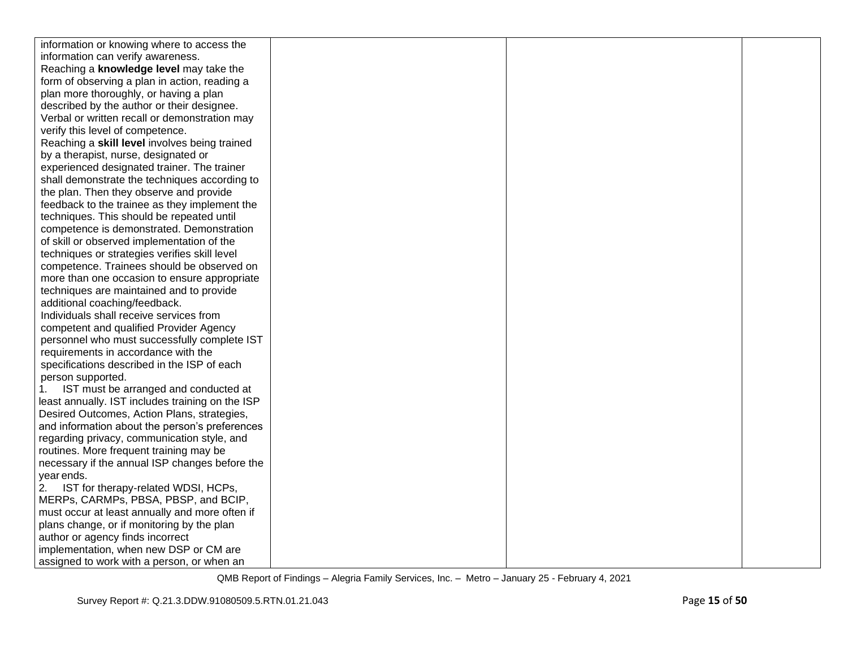| information or knowing where to access the       |  |  |
|--------------------------------------------------|--|--|
| information can verify awareness.                |  |  |
| Reaching a knowledge level may take the          |  |  |
| form of observing a plan in action, reading a    |  |  |
| plan more thoroughly, or having a plan           |  |  |
| described by the author or their designee.       |  |  |
| Verbal or written recall or demonstration may    |  |  |
| verify this level of competence.                 |  |  |
| Reaching a skill level involves being trained    |  |  |
| by a therapist, nurse, designated or             |  |  |
| experienced designated trainer. The trainer      |  |  |
| shall demonstrate the techniques according to    |  |  |
| the plan. Then they observe and provide          |  |  |
| feedback to the trainee as they implement the    |  |  |
| techniques. This should be repeated until        |  |  |
| competence is demonstrated. Demonstration        |  |  |
| of skill or observed implementation of the       |  |  |
| techniques or strategies verifies skill level    |  |  |
| competence. Trainees should be observed on       |  |  |
| more than one occasion to ensure appropriate     |  |  |
| techniques are maintained and to provide         |  |  |
| additional coaching/feedback.                    |  |  |
| Individuals shall receive services from          |  |  |
| competent and qualified Provider Agency          |  |  |
| personnel who must successfully complete IST     |  |  |
| requirements in accordance with the              |  |  |
| specifications described in the ISP of each      |  |  |
| person supported.                                |  |  |
| IST must be arranged and conducted at<br>1.      |  |  |
| least annually. IST includes training on the ISP |  |  |
| Desired Outcomes, Action Plans, strategies,      |  |  |
| and information about the person's preferences   |  |  |
| regarding privacy, communication style, and      |  |  |
| routines. More frequent training may be          |  |  |
| necessary if the annual ISP changes before the   |  |  |
| year ends.                                       |  |  |
| IST for therapy-related WDSI, HCPs,<br>2.        |  |  |
| MERPs, CARMPs, PBSA, PBSP, and BCIP,             |  |  |
| must occur at least annually and more often if   |  |  |
| plans change, or if monitoring by the plan       |  |  |
| author or agency finds incorrect                 |  |  |
| implementation, when new DSP or CM are           |  |  |
| assigned to work with a person, or when an       |  |  |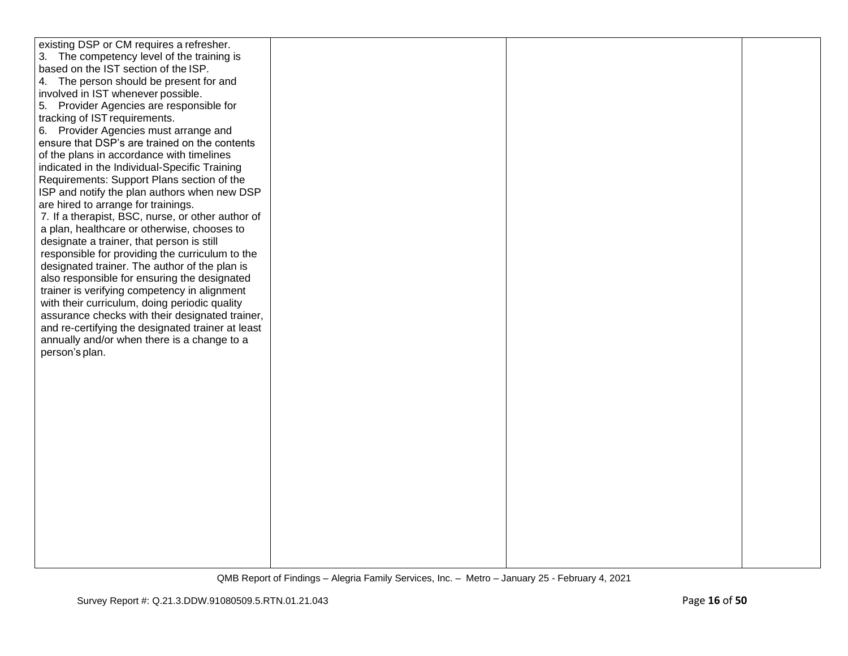| existing DSP or CM requires a refresher.          |  |  |
|---------------------------------------------------|--|--|
| 3. The competency level of the training is        |  |  |
| based on the IST section of the ISP.              |  |  |
| 4. The person should be present for and           |  |  |
|                                                   |  |  |
| involved in IST whenever possible.                |  |  |
| 5. Provider Agencies are responsible for          |  |  |
| tracking of IST requirements.                     |  |  |
| 6. Provider Agencies must arrange and             |  |  |
| ensure that DSP's are trained on the contents     |  |  |
| of the plans in accordance with timelines         |  |  |
| indicated in the Individual-Specific Training     |  |  |
| Requirements: Support Plans section of the        |  |  |
| ISP and notify the plan authors when new DSP      |  |  |
| are hired to arrange for trainings.               |  |  |
| 7. If a therapist, BSC, nurse, or other author of |  |  |
| a plan, healthcare or otherwise, chooses to       |  |  |
| designate a trainer, that person is still         |  |  |
| responsible for providing the curriculum to the   |  |  |
| designated trainer. The author of the plan is     |  |  |
|                                                   |  |  |
| also responsible for ensuring the designated      |  |  |
| trainer is verifying competency in alignment      |  |  |
| with their curriculum, doing periodic quality     |  |  |
| assurance checks with their designated trainer,   |  |  |
| and re-certifying the designated trainer at least |  |  |
| annually and/or when there is a change to a       |  |  |
| person's plan.                                    |  |  |
|                                                   |  |  |
|                                                   |  |  |
|                                                   |  |  |
|                                                   |  |  |
|                                                   |  |  |
|                                                   |  |  |
|                                                   |  |  |
|                                                   |  |  |
|                                                   |  |  |
|                                                   |  |  |
|                                                   |  |  |
|                                                   |  |  |
|                                                   |  |  |
|                                                   |  |  |
|                                                   |  |  |
|                                                   |  |  |
|                                                   |  |  |
|                                                   |  |  |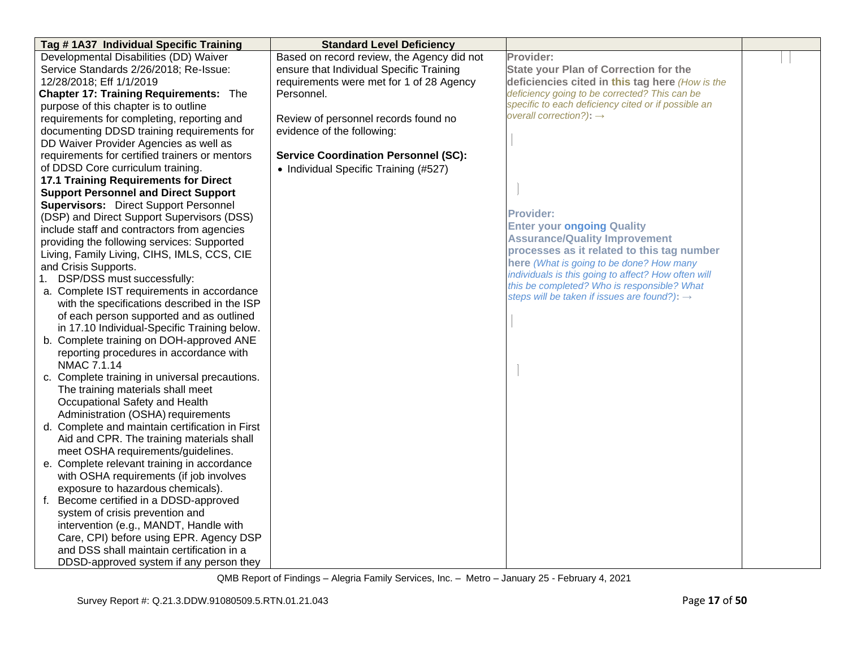| Tag #1A37 Individual Specific Training          | <b>Standard Level Deficiency</b>            |                                                                                                    |  |
|-------------------------------------------------|---------------------------------------------|----------------------------------------------------------------------------------------------------|--|
| Developmental Disabilities (DD) Waiver          | Based on record review, the Agency did not  | Provider:                                                                                          |  |
| Service Standards 2/26/2018; Re-Issue:          | ensure that Individual Specific Training    | <b>State your Plan of Correction for the</b>                                                       |  |
| 12/28/2018; Eff 1/1/2019                        | requirements were met for 1 of 28 Agency    | deficiencies cited in this tag here (How is the                                                    |  |
| <b>Chapter 17: Training Requirements: The</b>   | Personnel.                                  | deficiency going to be corrected? This can be                                                      |  |
| purpose of this chapter is to outline           |                                             | specific to each deficiency cited or if possible an                                                |  |
| requirements for completing, reporting and      | Review of personnel records found no        | overall correction?): $\rightarrow$                                                                |  |
| documenting DDSD training requirements for      | evidence of the following:                  |                                                                                                    |  |
| DD Waiver Provider Agencies as well as          |                                             |                                                                                                    |  |
| requirements for certified trainers or mentors  | <b>Service Coordination Personnel (SC):</b> |                                                                                                    |  |
| of DDSD Core curriculum training.               | • Individual Specific Training (#527)       |                                                                                                    |  |
| 17.1 Training Requirements for Direct           |                                             |                                                                                                    |  |
| <b>Support Personnel and Direct Support</b>     |                                             |                                                                                                    |  |
| <b>Supervisors:</b> Direct Support Personnel    |                                             |                                                                                                    |  |
| (DSP) and Direct Support Supervisors (DSS)      |                                             | <b>Provider:</b>                                                                                   |  |
| include staff and contractors from agencies     |                                             | <b>Enter your ongoing Quality</b>                                                                  |  |
| providing the following services: Supported     |                                             | <b>Assurance/Quality Improvement</b>                                                               |  |
| Living, Family Living, CIHS, IMLS, CCS, CIE     |                                             | processes as it related to this tag number                                                         |  |
| and Crisis Supports.                            |                                             | here (What is going to be done? How many                                                           |  |
| 1. DSP/DSS must successfully:                   |                                             | individuals is this going to affect? How often will<br>this be completed? Who is responsible? What |  |
| a. Complete IST requirements in accordance      |                                             | steps will be taken if issues are found?): $\rightarrow$                                           |  |
| with the specifications described in the ISP    |                                             |                                                                                                    |  |
| of each person supported and as outlined        |                                             |                                                                                                    |  |
| in 17.10 Individual-Specific Training below.    |                                             |                                                                                                    |  |
| b. Complete training on DOH-approved ANE        |                                             |                                                                                                    |  |
| reporting procedures in accordance with         |                                             |                                                                                                    |  |
| NMAC 7.1.14                                     |                                             |                                                                                                    |  |
| c. Complete training in universal precautions.  |                                             |                                                                                                    |  |
| The training materials shall meet               |                                             |                                                                                                    |  |
| Occupational Safety and Health                  |                                             |                                                                                                    |  |
| Administration (OSHA) requirements              |                                             |                                                                                                    |  |
| d. Complete and maintain certification in First |                                             |                                                                                                    |  |
| Aid and CPR. The training materials shall       |                                             |                                                                                                    |  |
| meet OSHA requirements/guidelines.              |                                             |                                                                                                    |  |
| e. Complete relevant training in accordance     |                                             |                                                                                                    |  |
| with OSHA requirements (if job involves         |                                             |                                                                                                    |  |
| exposure to hazardous chemicals).               |                                             |                                                                                                    |  |
| f. Become certified in a DDSD-approved          |                                             |                                                                                                    |  |
| system of crisis prevention and                 |                                             |                                                                                                    |  |
| intervention (e.g., MANDT, Handle with          |                                             |                                                                                                    |  |
| Care, CPI) before using EPR. Agency DSP         |                                             |                                                                                                    |  |
| and DSS shall maintain certification in a       |                                             |                                                                                                    |  |
| DDSD-approved system if any person they         |                                             |                                                                                                    |  |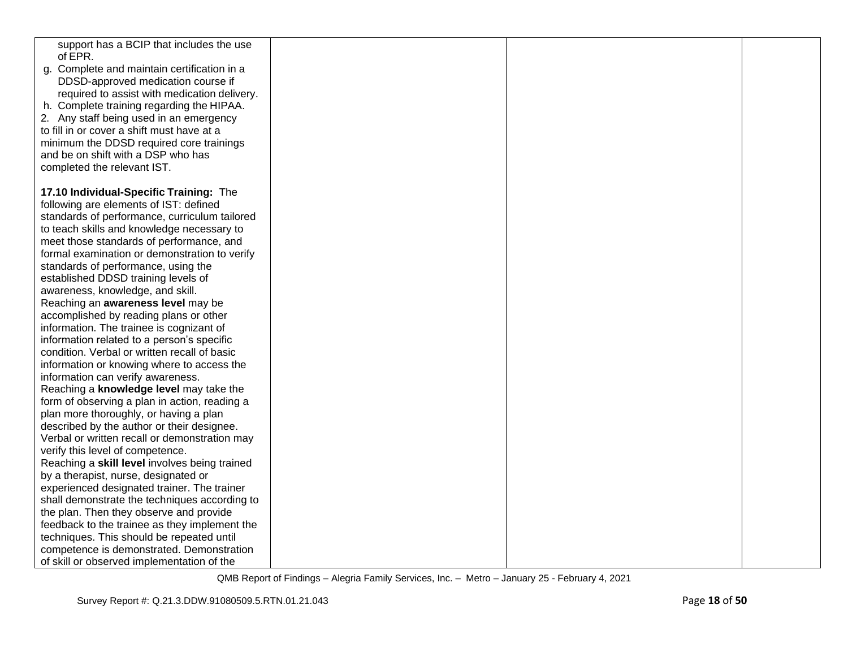| support has a BCIP that includes the use                                                   |  |  |
|--------------------------------------------------------------------------------------------|--|--|
| of EPR.                                                                                    |  |  |
| g. Complete and maintain certification in a                                                |  |  |
| DDSD-approved medication course if                                                         |  |  |
| required to assist with medication delivery.                                               |  |  |
| h. Complete training regarding the HIPAA.                                                  |  |  |
| 2. Any staff being used in an emergency                                                    |  |  |
| to fill in or cover a shift must have at a                                                 |  |  |
| minimum the DDSD required core trainings                                                   |  |  |
| and be on shift with a DSP who has                                                         |  |  |
| completed the relevant IST.                                                                |  |  |
|                                                                                            |  |  |
| 17.10 Individual-Specific Training: The                                                    |  |  |
| following are elements of IST: defined                                                     |  |  |
| standards of performance, curriculum tailored                                              |  |  |
| to teach skills and knowledge necessary to                                                 |  |  |
| meet those standards of performance, and                                                   |  |  |
| formal examination or demonstration to verify                                              |  |  |
| standards of performance, using the                                                        |  |  |
| established DDSD training levels of                                                        |  |  |
| awareness, knowledge, and skill.                                                           |  |  |
| Reaching an awareness level may be                                                         |  |  |
| accomplished by reading plans or other                                                     |  |  |
| information. The trainee is cognizant of                                                   |  |  |
| information related to a person's specific<br>condition. Verbal or written recall of basic |  |  |
|                                                                                            |  |  |
| information or knowing where to access the<br>information can verify awareness.            |  |  |
| Reaching a knowledge level may take the                                                    |  |  |
| form of observing a plan in action, reading a                                              |  |  |
| plan more thoroughly, or having a plan                                                     |  |  |
| described by the author or their designee.                                                 |  |  |
| Verbal or written recall or demonstration may                                              |  |  |
| verify this level of competence.                                                           |  |  |
| Reaching a skill level involves being trained                                              |  |  |
| by a therapist, nurse, designated or                                                       |  |  |
| experienced designated trainer. The trainer                                                |  |  |
| shall demonstrate the techniques according to                                              |  |  |
| the plan. Then they observe and provide                                                    |  |  |
| feedback to the trainee as they implement the                                              |  |  |
| techniques. This should be repeated until                                                  |  |  |
| competence is demonstrated. Demonstration                                                  |  |  |
| of skill or observed implementation of the                                                 |  |  |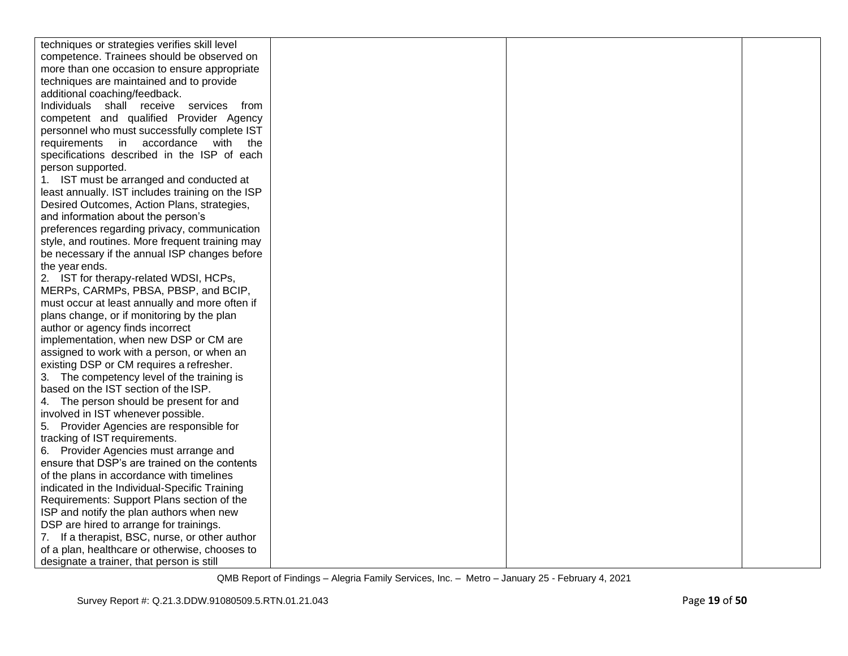| techniques or strategies verifies skill level    |  |  |
|--------------------------------------------------|--|--|
| competence. Trainees should be observed on       |  |  |
| more than one occasion to ensure appropriate     |  |  |
| techniques are maintained and to provide         |  |  |
| additional coaching/feedback.                    |  |  |
| Individuals shall receive services<br>from       |  |  |
| competent and qualified Provider Agency          |  |  |
| personnel who must successfully complete IST     |  |  |
| requirements in accordance with the              |  |  |
| specifications described in the ISP of each      |  |  |
| person supported.                                |  |  |
| 1. IST must be arranged and conducted at         |  |  |
| least annually. IST includes training on the ISP |  |  |
| Desired Outcomes, Action Plans, strategies,      |  |  |
| and information about the person's               |  |  |
| preferences regarding privacy, communication     |  |  |
| style, and routines. More frequent training may  |  |  |
| be necessary if the annual ISP changes before    |  |  |
| the year ends.                                   |  |  |
| 2. IST for therapy-related WDSI, HCPs,           |  |  |
| MERPs, CARMPs, PBSA, PBSP, and BCIP,             |  |  |
| must occur at least annually and more often if   |  |  |
| plans change, or if monitoring by the plan       |  |  |
| author or agency finds incorrect                 |  |  |
| implementation, when new DSP or CM are           |  |  |
| assigned to work with a person, or when an       |  |  |
| existing DSP or CM requires a refresher.         |  |  |
| 3. The competency level of the training is       |  |  |
| based on the IST section of the ISP.             |  |  |
| 4. The person should be present for and          |  |  |
| involved in IST whenever possible.               |  |  |
| 5. Provider Agencies are responsible for         |  |  |
| tracking of IST requirements.                    |  |  |
| 6. Provider Agencies must arrange and            |  |  |
| ensure that DSP's are trained on the contents    |  |  |
| of the plans in accordance with timelines        |  |  |
| indicated in the Individual-Specific Training    |  |  |
| Requirements: Support Plans section of the       |  |  |
| ISP and notify the plan authors when new         |  |  |
| DSP are hired to arrange for trainings.          |  |  |
| 7. If a therapist, BSC, nurse, or other author   |  |  |
| of a plan, healthcare or otherwise, chooses to   |  |  |
| designate a trainer, that person is still        |  |  |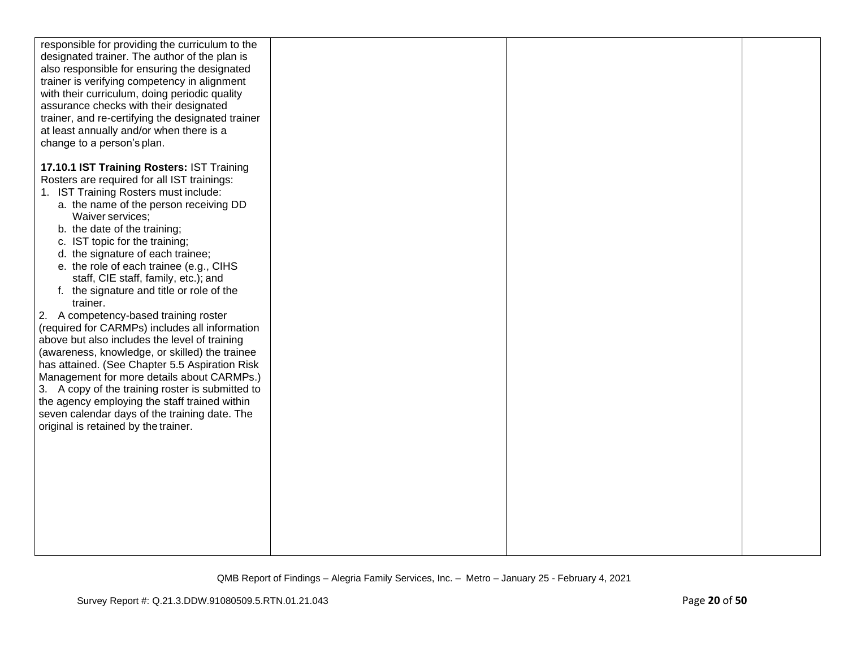| responsible for providing the curriculum to the<br>designated trainer. The author of the plan is<br>also responsible for ensuring the designated<br>trainer is verifying competency in alignment<br>with their curriculum, doing periodic quality<br>assurance checks with their designated<br>trainer, and re-certifying the designated trainer<br>at least annually and/or when there is a<br>change to a person's plan.                                                                                                                                                                                                                                                                                                                                                                                                                                                                                                                      |  |  |
|-------------------------------------------------------------------------------------------------------------------------------------------------------------------------------------------------------------------------------------------------------------------------------------------------------------------------------------------------------------------------------------------------------------------------------------------------------------------------------------------------------------------------------------------------------------------------------------------------------------------------------------------------------------------------------------------------------------------------------------------------------------------------------------------------------------------------------------------------------------------------------------------------------------------------------------------------|--|--|
| 17.10.1 IST Training Rosters: IST Training<br>Rosters are required for all IST trainings:<br>1. IST Training Rosters must include:<br>a. the name of the person receiving DD<br>Waiver services;<br>b. the date of the training;<br>c. IST topic for the training;<br>d. the signature of each trainee;<br>e. the role of each trainee (e.g., CIHS<br>staff, CIE staff, family, etc.); and<br>f. the signature and title or role of the<br>trainer.<br>2. A competency-based training roster<br>(required for CARMPs) includes all information<br>above but also includes the level of training<br>(awareness, knowledge, or skilled) the trainee<br>has attained. (See Chapter 5.5 Aspiration Risk<br>Management for more details about CARMPs.)<br>3. A copy of the training roster is submitted to<br>the agency employing the staff trained within<br>seven calendar days of the training date. The<br>original is retained by the trainer. |  |  |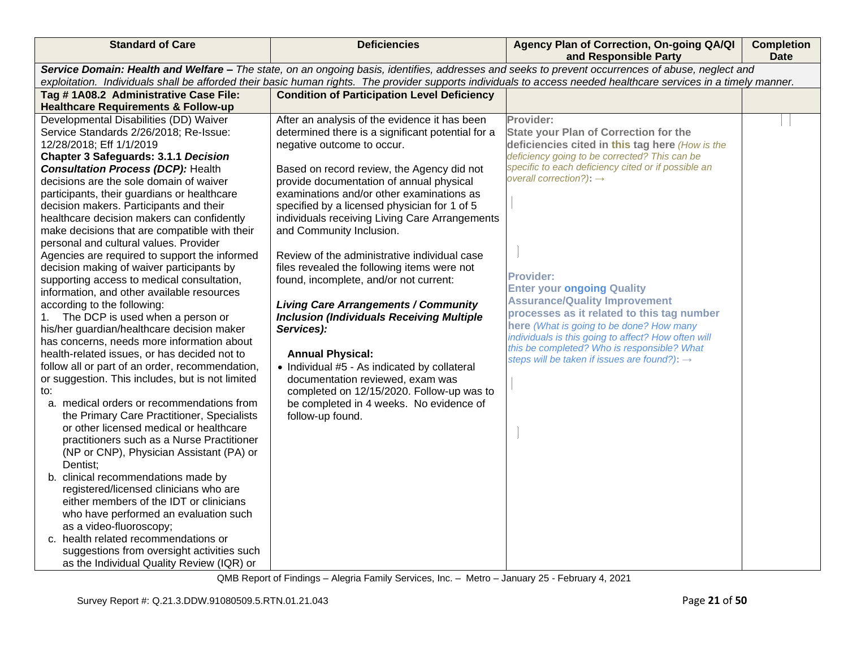| <b>Standard of Care</b>                                                               | <b>Deficiencies</b>                                                                                                                                              | Agency Plan of Correction, On-going QA/QI<br>and Responsible Party                              | <b>Completion</b><br><b>Date</b> |
|---------------------------------------------------------------------------------------|------------------------------------------------------------------------------------------------------------------------------------------------------------------|-------------------------------------------------------------------------------------------------|----------------------------------|
|                                                                                       | Service Domain: Health and Welfare - The state, on an ongoing basis, identifies, addresses and seeks to prevent occurrences of abuse, neglect and                |                                                                                                 |                                  |
|                                                                                       | exploitation. Individuals shall be afforded their basic human rights. The provider supports individuals to access needed healthcare services in a timely manner. |                                                                                                 |                                  |
| Tag #1A08.2 Administrative Case File:                                                 | <b>Condition of Participation Level Deficiency</b>                                                                                                               |                                                                                                 |                                  |
| <b>Healthcare Requirements &amp; Follow-up</b>                                        |                                                                                                                                                                  |                                                                                                 |                                  |
| Developmental Disabilities (DD) Waiver<br>Service Standards 2/26/2018; Re-Issue:      | After an analysis of the evidence it has been<br>determined there is a significant potential for a                                                               | Provider:<br><b>State your Plan of Correction for the</b>                                       |                                  |
| 12/28/2018; Eff 1/1/2019                                                              | negative outcome to occur.                                                                                                                                       | deficiencies cited in this tag here (How is the                                                 |                                  |
| Chapter 3 Safeguards: 3.1.1 Decision                                                  |                                                                                                                                                                  | deficiency going to be corrected? This can be                                                   |                                  |
| <b>Consultation Process (DCP): Health</b>                                             | Based on record review, the Agency did not                                                                                                                       | specific to each deficiency cited or if possible an                                             |                                  |
| decisions are the sole domain of waiver                                               | provide documentation of annual physical                                                                                                                         | overall correction?): $\rightarrow$                                                             |                                  |
| participants, their guardians or healthcare                                           | examinations and/or other examinations as                                                                                                                        |                                                                                                 |                                  |
| decision makers. Participants and their                                               | specified by a licensed physician for 1 of 5                                                                                                                     |                                                                                                 |                                  |
| healthcare decision makers can confidently                                            | individuals receiving Living Care Arrangements                                                                                                                   |                                                                                                 |                                  |
| make decisions that are compatible with their                                         | and Community Inclusion.                                                                                                                                         |                                                                                                 |                                  |
| personal and cultural values. Provider                                                |                                                                                                                                                                  |                                                                                                 |                                  |
| Agencies are required to support the informed                                         | Review of the administrative individual case                                                                                                                     |                                                                                                 |                                  |
| decision making of waiver participants by                                             | files revealed the following items were not                                                                                                                      |                                                                                                 |                                  |
| supporting access to medical consultation,                                            | found, incomplete, and/or not current:                                                                                                                           | <b>Provider:</b>                                                                                |                                  |
| information, and other available resources                                            |                                                                                                                                                                  | <b>Enter your ongoing Quality</b>                                                               |                                  |
| according to the following:                                                           | <b>Living Care Arrangements / Community</b>                                                                                                                      | <b>Assurance/Quality Improvement</b>                                                            |                                  |
| 1. The DCP is used when a person or                                                   | <b>Inclusion (Individuals Receiving Multiple</b>                                                                                                                 | processes as it related to this tag number                                                      |                                  |
| his/her guardian/healthcare decision maker                                            | Services):                                                                                                                                                       | here (What is going to be done? How many<br>individuals is this going to affect? How often will |                                  |
| has concerns, needs more information about                                            |                                                                                                                                                                  | this be completed? Who is responsible? What                                                     |                                  |
| health-related issues, or has decided not to                                          | <b>Annual Physical:</b>                                                                                                                                          | steps will be taken if issues are found?): $\rightarrow$                                        |                                  |
| follow all or part of an order, recommendation,                                       | • Individual #5 - As indicated by collateral                                                                                                                     |                                                                                                 |                                  |
| or suggestion. This includes, but is not limited                                      | documentation reviewed, exam was                                                                                                                                 |                                                                                                 |                                  |
| to:                                                                                   | completed on 12/15/2020. Follow-up was to                                                                                                                        |                                                                                                 |                                  |
| a. medical orders or recommendations from                                             | be completed in 4 weeks. No evidence of                                                                                                                          |                                                                                                 |                                  |
| the Primary Care Practitioner, Specialists<br>or other licensed medical or healthcare | follow-up found.                                                                                                                                                 |                                                                                                 |                                  |
| practitioners such as a Nurse Practitioner                                            |                                                                                                                                                                  |                                                                                                 |                                  |
| (NP or CNP), Physician Assistant (PA) or                                              |                                                                                                                                                                  |                                                                                                 |                                  |
| Dentist;                                                                              |                                                                                                                                                                  |                                                                                                 |                                  |
| b. clinical recommendations made by                                                   |                                                                                                                                                                  |                                                                                                 |                                  |
| registered/licensed clinicians who are                                                |                                                                                                                                                                  |                                                                                                 |                                  |
| either members of the IDT or clinicians                                               |                                                                                                                                                                  |                                                                                                 |                                  |
| who have performed an evaluation such                                                 |                                                                                                                                                                  |                                                                                                 |                                  |
| as a video-fluoroscopy;                                                               |                                                                                                                                                                  |                                                                                                 |                                  |
| c. health related recommendations or                                                  |                                                                                                                                                                  |                                                                                                 |                                  |
| suggestions from oversight activities such                                            |                                                                                                                                                                  |                                                                                                 |                                  |
| as the Individual Quality Review (IQR) or                                             |                                                                                                                                                                  |                                                                                                 |                                  |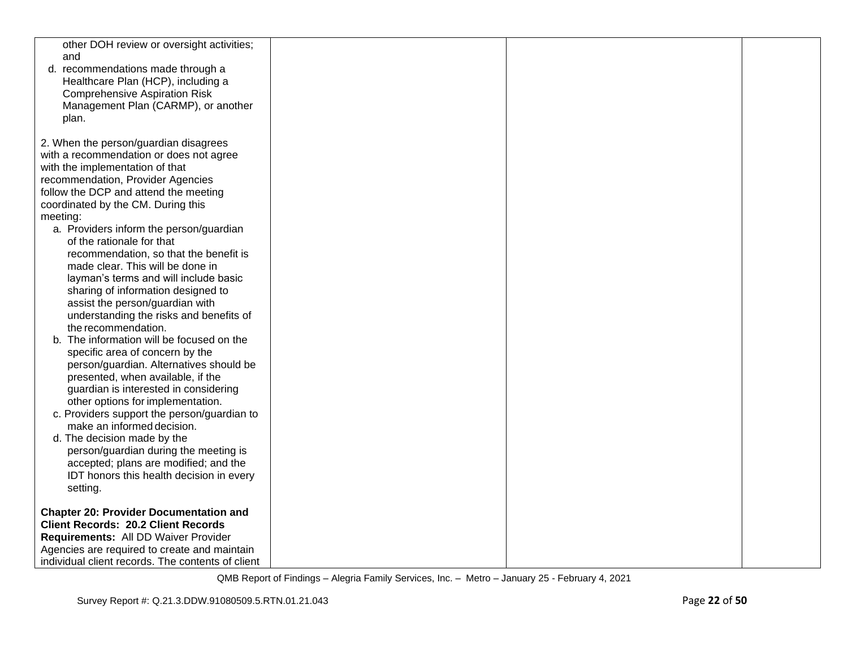| other DOH review or oversight activities;     |  |  |
|-----------------------------------------------|--|--|
| and                                           |  |  |
| d. recommendations made through a             |  |  |
| Healthcare Plan (HCP), including a            |  |  |
| <b>Comprehensive Aspiration Risk</b>          |  |  |
| Management Plan (CARMP), or another           |  |  |
| plan.                                         |  |  |
| 2. When the person/guardian disagrees         |  |  |
| with a recommendation or does not agree       |  |  |
| with the implementation of that               |  |  |
| recommendation, Provider Agencies             |  |  |
| follow the DCP and attend the meeting         |  |  |
| coordinated by the CM. During this            |  |  |
| meeting:                                      |  |  |
| a. Providers inform the person/guardian       |  |  |
| of the rationale for that                     |  |  |
| recommendation, so that the benefit is        |  |  |
| made clear. This will be done in              |  |  |
| layman's terms and will include basic         |  |  |
| sharing of information designed to            |  |  |
| assist the person/guardian with               |  |  |
| understanding the risks and benefits of       |  |  |
| the recommendation.                           |  |  |
| b. The information will be focused on the     |  |  |
| specific area of concern by the               |  |  |
| person/guardian. Alternatives should be       |  |  |
| presented, when available, if the             |  |  |
| guardian is interested in considering         |  |  |
| other options for implementation.             |  |  |
| c. Providers support the person/guardian to   |  |  |
| make an informed decision.                    |  |  |
| d. The decision made by the                   |  |  |
| person/guardian during the meeting is         |  |  |
| accepted; plans are modified; and the         |  |  |
| IDT honors this health decision in every      |  |  |
| setting.                                      |  |  |
| <b>Chapter 20: Provider Documentation and</b> |  |  |
| <b>Client Records: 20.2 Client Records</b>    |  |  |
| Requirements: All DD Waiver Provider          |  |  |
| Agencies are required to create and maintain  |  |  |
|                                               |  |  |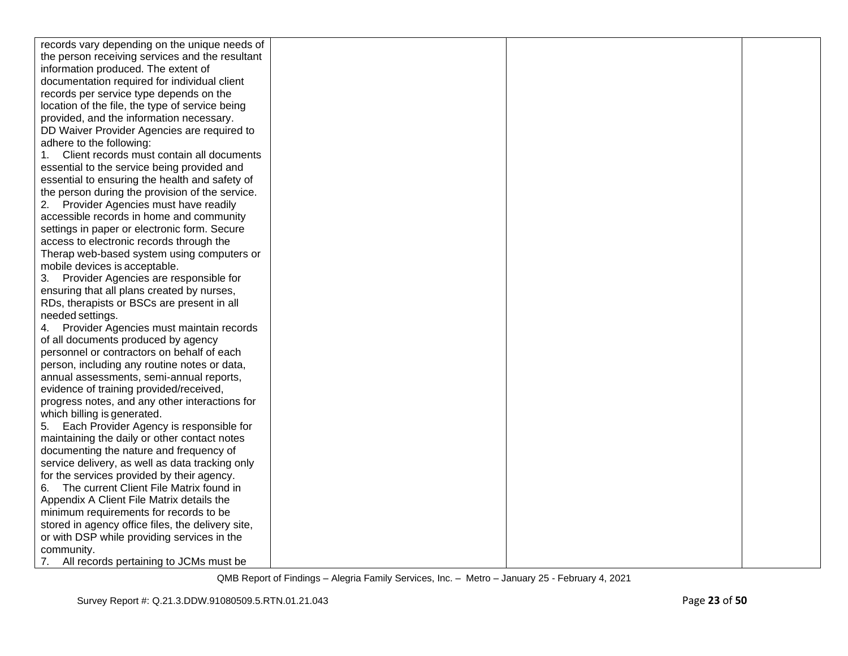| records vary depending on the unique needs of     |  |  |
|---------------------------------------------------|--|--|
| the person receiving services and the resultant   |  |  |
| information produced. The extent of               |  |  |
| documentation required for individual client      |  |  |
| records per service type depends on the           |  |  |
| location of the file, the type of service being   |  |  |
| provided, and the information necessary.          |  |  |
| DD Waiver Provider Agencies are required to       |  |  |
| adhere to the following:                          |  |  |
| Client records must contain all documents<br>1.   |  |  |
| essential to the service being provided and       |  |  |
| essential to ensuring the health and safety of    |  |  |
| the person during the provision of the service.   |  |  |
| 2. Provider Agencies must have readily            |  |  |
| accessible records in home and community          |  |  |
| settings in paper or electronic form. Secure      |  |  |
| access to electronic records through the          |  |  |
| Therap web-based system using computers or        |  |  |
| mobile devices is acceptable.                     |  |  |
| Provider Agencies are responsible for<br>3.       |  |  |
| ensuring that all plans created by nurses,        |  |  |
| RDs, therapists or BSCs are present in all        |  |  |
| needed settings.                                  |  |  |
| Provider Agencies must maintain records<br>4.     |  |  |
| of all documents produced by agency               |  |  |
| personnel or contractors on behalf of each        |  |  |
| person, including any routine notes or data,      |  |  |
| annual assessments, semi-annual reports,          |  |  |
| evidence of training provided/received,           |  |  |
| progress notes, and any other interactions for    |  |  |
| which billing is generated.                       |  |  |
| Each Provider Agency is responsible for<br>5.     |  |  |
| maintaining the daily or other contact notes      |  |  |
| documenting the nature and frequency of           |  |  |
| service delivery, as well as data tracking only   |  |  |
| for the services provided by their agency.        |  |  |
| The current Client File Matrix found in<br>6.     |  |  |
| Appendix A Client File Matrix details the         |  |  |
| minimum requirements for records to be            |  |  |
| stored in agency office files, the delivery site, |  |  |
| or with DSP while providing services in the       |  |  |
| community.                                        |  |  |
| All records pertaining to JCMs must be<br>7.      |  |  |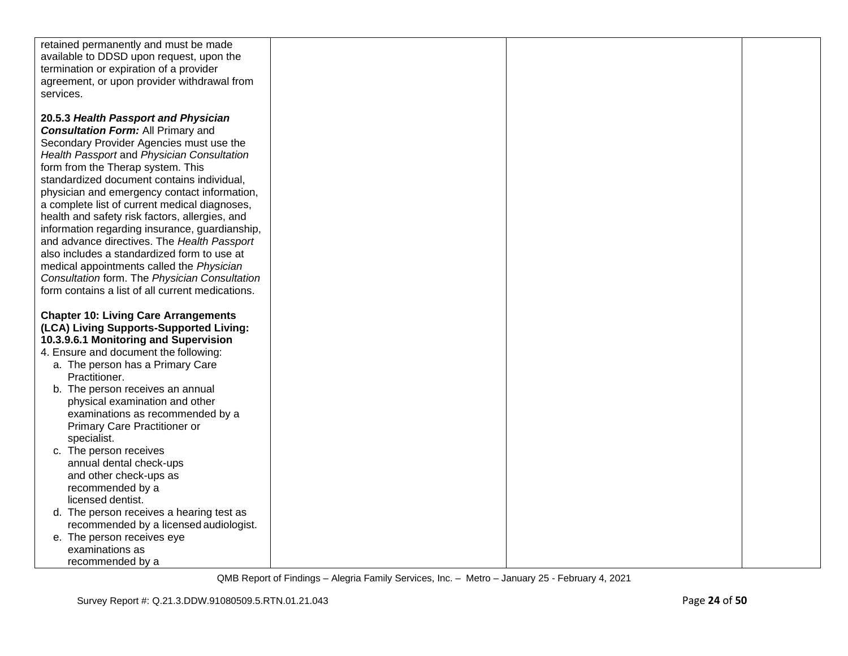| retained permanently and must be made<br>available to DDSD upon request, upon the                |  |  |
|--------------------------------------------------------------------------------------------------|--|--|
| termination or expiration of a provider<br>agreement, or upon provider withdrawal from           |  |  |
| services.                                                                                        |  |  |
|                                                                                                  |  |  |
| 20.5.3 Health Passport and Physician                                                             |  |  |
| <b>Consultation Form: All Primary and</b>                                                        |  |  |
| Secondary Provider Agencies must use the<br>Health Passport and Physician Consultation           |  |  |
| form from the Therap system. This                                                                |  |  |
| standardized document contains individual,                                                       |  |  |
| physician and emergency contact information,                                                     |  |  |
| a complete list of current medical diagnoses,                                                    |  |  |
| health and safety risk factors, allergies, and<br>information regarding insurance, guardianship, |  |  |
| and advance directives. The Health Passport                                                      |  |  |
| also includes a standardized form to use at                                                      |  |  |
| medical appointments called the Physician                                                        |  |  |
| Consultation form. The Physician Consultation                                                    |  |  |
| form contains a list of all current medications.                                                 |  |  |
| <b>Chapter 10: Living Care Arrangements</b>                                                      |  |  |
| (LCA) Living Supports-Supported Living:                                                          |  |  |
| 10.3.9.6.1 Monitoring and Supervision                                                            |  |  |
| 4. Ensure and document the following:                                                            |  |  |
| a. The person has a Primary Care<br>Practitioner.                                                |  |  |
| b. The person receives an annual                                                                 |  |  |
| physical examination and other                                                                   |  |  |
| examinations as recommended by a                                                                 |  |  |
| Primary Care Practitioner or                                                                     |  |  |
| specialist.<br>c. The person receives                                                            |  |  |
| annual dental check-ups                                                                          |  |  |
| and other check-ups as                                                                           |  |  |
| recommended by a                                                                                 |  |  |
| licensed dentist.                                                                                |  |  |
| d. The person receives a hearing test as                                                         |  |  |
| recommended by a licensed audiologist.<br>e. The person receives eye                             |  |  |
| examinations as                                                                                  |  |  |
| recommended by a                                                                                 |  |  |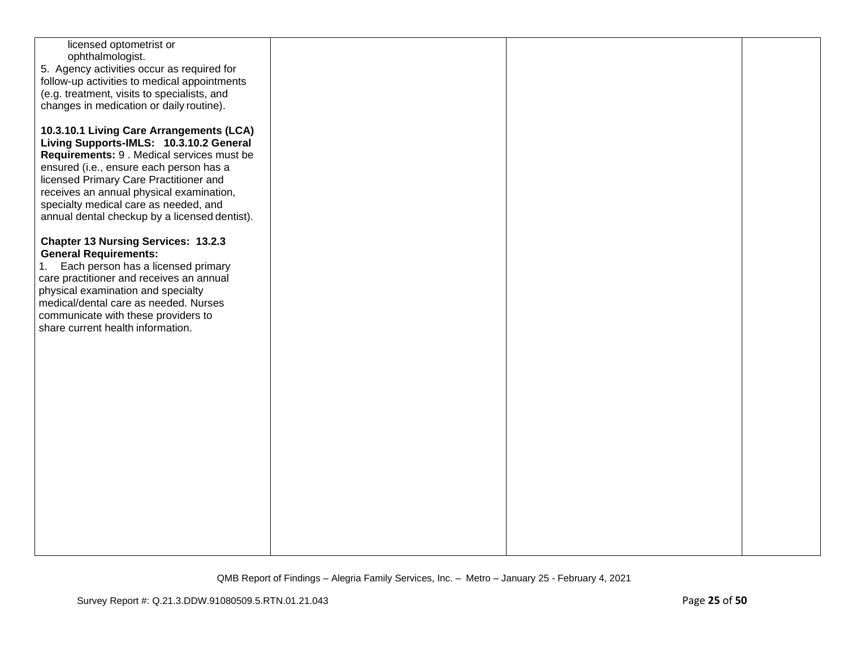| licensed optometrist or                       |  |  |
|-----------------------------------------------|--|--|
| ophthalmologist.                              |  |  |
| 5. Agency activities occur as required for    |  |  |
|                                               |  |  |
| follow-up activities to medical appointments  |  |  |
| (e.g. treatment, visits to specialists, and   |  |  |
| changes in medication or daily routine).      |  |  |
|                                               |  |  |
|                                               |  |  |
| 10.3.10.1 Living Care Arrangements (LCA)      |  |  |
| Living Supports-IMLS: 10.3.10.2 General       |  |  |
| Requirements: 9 . Medical services must be    |  |  |
| ensured (i.e., ensure each person has a       |  |  |
|                                               |  |  |
| licensed Primary Care Practitioner and        |  |  |
| receives an annual physical examination,      |  |  |
| specialty medical care as needed, and         |  |  |
| annual dental checkup by a licensed dentist). |  |  |
|                                               |  |  |
|                                               |  |  |
| <b>Chapter 13 Nursing Services: 13.2.3</b>    |  |  |
| <b>General Requirements:</b>                  |  |  |
| Each person has a licensed primary<br>1.      |  |  |
| care practitioner and receives an annual      |  |  |
| physical examination and specialty            |  |  |
|                                               |  |  |
| medical/dental care as needed. Nurses         |  |  |
| communicate with these providers to           |  |  |
| share current health information.             |  |  |
|                                               |  |  |
|                                               |  |  |
|                                               |  |  |
|                                               |  |  |
|                                               |  |  |
|                                               |  |  |
|                                               |  |  |
|                                               |  |  |
|                                               |  |  |
|                                               |  |  |
|                                               |  |  |
|                                               |  |  |
|                                               |  |  |
|                                               |  |  |
|                                               |  |  |
|                                               |  |  |
|                                               |  |  |
|                                               |  |  |
|                                               |  |  |
|                                               |  |  |
|                                               |  |  |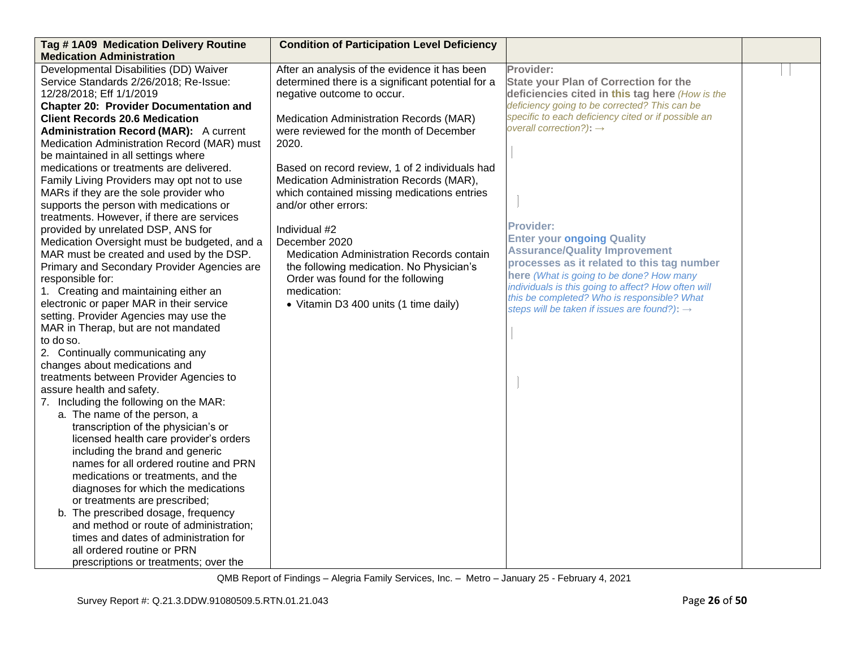| Tag #1A09 Medication Delivery Routine                                  | <b>Condition of Participation Level Deficiency</b> |                                                                           |  |
|------------------------------------------------------------------------|----------------------------------------------------|---------------------------------------------------------------------------|--|
| <b>Medication Administration</b>                                       |                                                    |                                                                           |  |
| Developmental Disabilities (DD) Waiver                                 | After an analysis of the evidence it has been      | Provider:                                                                 |  |
| Service Standards 2/26/2018; Re-Issue:                                 | determined there is a significant potential for a  | <b>State your Plan of Correction for the</b>                              |  |
| 12/28/2018; Eff 1/1/2019                                               | negative outcome to occur.                         | deficiencies cited in this tag here (How is the                           |  |
| <b>Chapter 20: Provider Documentation and</b>                          |                                                    | deficiency going to be corrected? This can be                             |  |
| <b>Client Records 20.6 Medication</b>                                  | Medication Administration Records (MAR)            | specific to each deficiency cited or if possible an                       |  |
| <b>Administration Record (MAR):</b> A current                          | were reviewed for the month of December            | overall correction?): $\rightarrow$                                       |  |
| Medication Administration Record (MAR) must                            | 2020.                                              |                                                                           |  |
| be maintained in all settings where                                    |                                                    |                                                                           |  |
| medications or treatments are delivered.                               | Based on record review, 1 of 2 individuals had     |                                                                           |  |
| Family Living Providers may opt not to use                             | Medication Administration Records (MAR),           |                                                                           |  |
| MARs if they are the sole provider who                                 | which contained missing medications entries        |                                                                           |  |
| supports the person with medications or                                | and/or other errors:                               |                                                                           |  |
| treatments. However, if there are services                             |                                                    |                                                                           |  |
| provided by unrelated DSP, ANS for                                     | Individual #2                                      | <b>Provider:</b>                                                          |  |
| Medication Oversight must be budgeted, and a                           | December 2020                                      | <b>Enter your ongoing Quality</b><br><b>Assurance/Quality Improvement</b> |  |
| MAR must be created and used by the DSP.                               | Medication Administration Records contain          | processes as it related to this tag number                                |  |
| Primary and Secondary Provider Agencies are                            | the following medication. No Physician's           | here (What is going to be done? How many                                  |  |
| responsible for:                                                       | Order was found for the following                  | individuals is this going to affect? How often will                       |  |
| 1. Creating and maintaining either an                                  | medication:                                        | this be completed? Who is responsible? What                               |  |
| electronic or paper MAR in their service                               | • Vitamin D3 400 units (1 time daily)              | steps will be taken if issues are found?): $\rightarrow$                  |  |
| setting. Provider Agencies may use the                                 |                                                    |                                                                           |  |
| MAR in Therap, but are not mandated                                    |                                                    |                                                                           |  |
| to do so.                                                              |                                                    |                                                                           |  |
| 2. Continually communicating any                                       |                                                    |                                                                           |  |
| changes about medications and                                          |                                                    |                                                                           |  |
| treatments between Provider Agencies to                                |                                                    |                                                                           |  |
| assure health and safety.                                              |                                                    |                                                                           |  |
| 7. Including the following on the MAR:<br>a. The name of the person, a |                                                    |                                                                           |  |
| transcription of the physician's or                                    |                                                    |                                                                           |  |
| licensed health care provider's orders                                 |                                                    |                                                                           |  |
| including the brand and generic                                        |                                                    |                                                                           |  |
| names for all ordered routine and PRN                                  |                                                    |                                                                           |  |
| medications or treatments, and the                                     |                                                    |                                                                           |  |
| diagnoses for which the medications                                    |                                                    |                                                                           |  |
| or treatments are prescribed;                                          |                                                    |                                                                           |  |
| b. The prescribed dosage, frequency                                    |                                                    |                                                                           |  |
| and method or route of administration;                                 |                                                    |                                                                           |  |
| times and dates of administration for                                  |                                                    |                                                                           |  |
| all ordered routine or PRN                                             |                                                    |                                                                           |  |
| prescriptions or treatments; over the                                  |                                                    |                                                                           |  |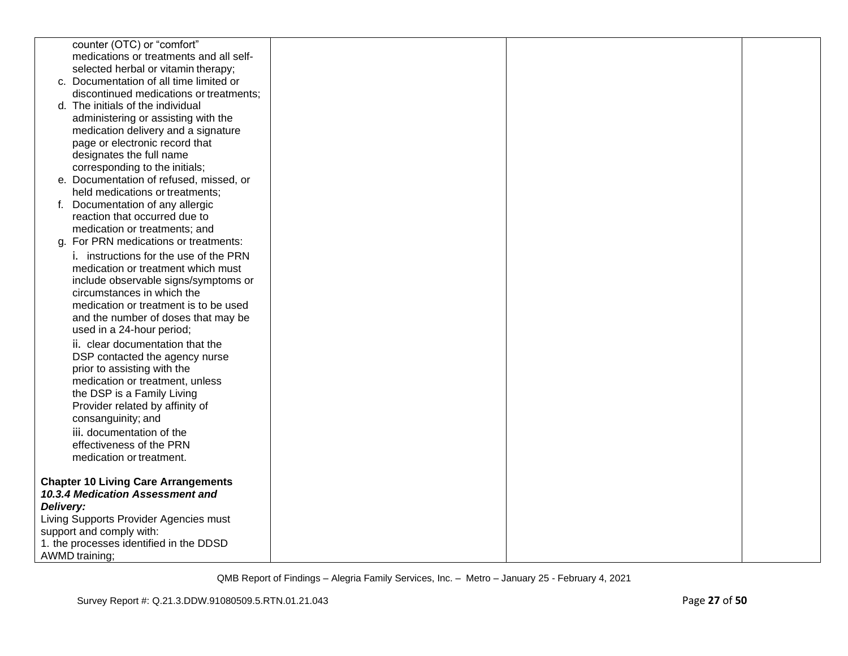|           | counter (OTC) or "comfort"                                                     |  |  |
|-----------|--------------------------------------------------------------------------------|--|--|
|           | medications or treatments and all self-                                        |  |  |
|           | selected herbal or vitamin therapy;                                            |  |  |
|           | c. Documentation of all time limited or                                        |  |  |
|           | discontinued medications or treatments;                                        |  |  |
|           | d. The initials of the individual                                              |  |  |
|           | administering or assisting with the                                            |  |  |
|           | medication delivery and a signature                                            |  |  |
|           | page or electronic record that                                                 |  |  |
|           | designates the full name                                                       |  |  |
|           | corresponding to the initials;                                                 |  |  |
|           | e. Documentation of refused, missed, or                                        |  |  |
|           | held medications or treatments;                                                |  |  |
|           | f. Documentation of any allergic                                               |  |  |
|           | reaction that occurred due to                                                  |  |  |
|           | medication or treatments; and                                                  |  |  |
|           | g. For PRN medications or treatments:                                          |  |  |
|           | i. instructions for the use of the PRN                                         |  |  |
|           | medication or treatment which must                                             |  |  |
|           | include observable signs/symptoms or                                           |  |  |
|           | circumstances in which the                                                     |  |  |
|           | medication or treatment is to be used                                          |  |  |
|           | and the number of doses that may be                                            |  |  |
|           | used in a 24-hour period;                                                      |  |  |
|           | ii. clear documentation that the                                               |  |  |
|           | DSP contacted the agency nurse                                                 |  |  |
|           | prior to assisting with the                                                    |  |  |
|           | medication or treatment, unless                                                |  |  |
|           | the DSP is a Family Living                                                     |  |  |
|           | Provider related by affinity of                                                |  |  |
|           | consanguinity; and                                                             |  |  |
|           | iii. documentation of the                                                      |  |  |
|           | effectiveness of the PRN                                                       |  |  |
|           | medication or treatment.                                                       |  |  |
|           |                                                                                |  |  |
|           | <b>Chapter 10 Living Care Arrangements</b><br>10.3.4 Medication Assessment and |  |  |
|           |                                                                                |  |  |
| Delivery: | Living Supports Provider Agencies must                                         |  |  |
|           | support and comply with:                                                       |  |  |
|           | 1. the processes identified in the DDSD                                        |  |  |
|           | <b>AWMD</b> training;                                                          |  |  |
|           |                                                                                |  |  |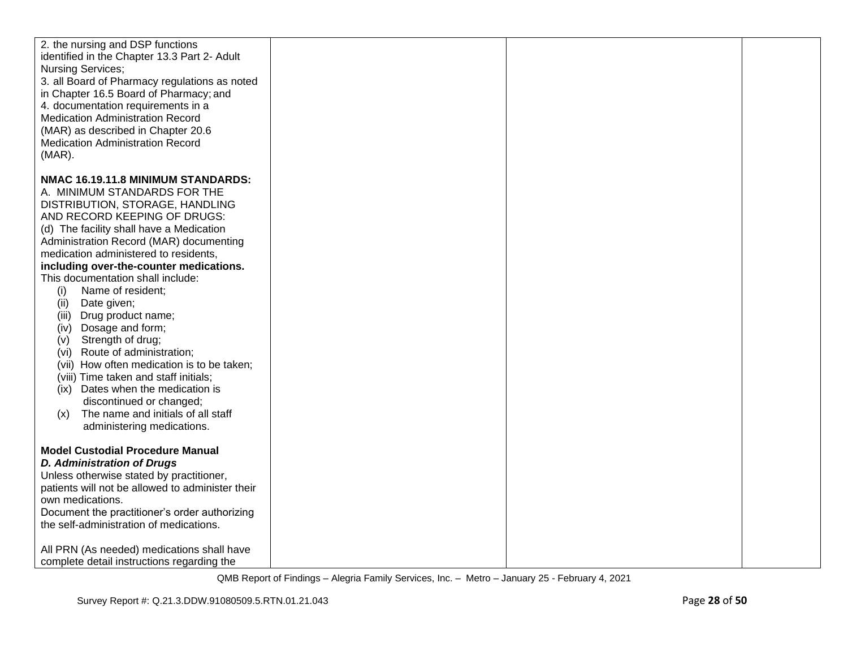| 2. the nursing and DSP functions<br>identified in the Chapter 13.3 Part 2- Adult<br><b>Nursing Services;</b><br>3. all Board of Pharmacy regulations as noted<br>in Chapter 16.5 Board of Pharmacy; and<br>4. documentation requirements in a<br><b>Medication Administration Record</b><br>(MAR) as described in Chapter 20.6<br><b>Medication Administration Record</b><br>$(MAR)$ .                                                                                                                                                                                                                                                                                                                                                                           |  |  |
|------------------------------------------------------------------------------------------------------------------------------------------------------------------------------------------------------------------------------------------------------------------------------------------------------------------------------------------------------------------------------------------------------------------------------------------------------------------------------------------------------------------------------------------------------------------------------------------------------------------------------------------------------------------------------------------------------------------------------------------------------------------|--|--|
| NMAC 16.19.11.8 MINIMUM STANDARDS:<br>A. MINIMUM STANDARDS FOR THE<br>DISTRIBUTION, STORAGE, HANDLING<br>AND RECORD KEEPING OF DRUGS:<br>(d) The facility shall have a Medication<br>Administration Record (MAR) documenting<br>medication administered to residents,<br>including over-the-counter medications.<br>This documentation shall include:<br>Name of resident;<br>(i)<br>(ii)<br>Date given;<br>(iii) Drug product name;<br>Dosage and form;<br>(iv)<br>Strength of drug;<br>(v)<br>(vi) Route of administration;<br>(vii) How often medication is to be taken;<br>(viii) Time taken and staff initials;<br>(ix) Dates when the medication is<br>discontinued or changed;<br>The name and initials of all staff<br>(x)<br>administering medications. |  |  |
| <b>Model Custodial Procedure Manual</b><br><b>D. Administration of Drugs</b><br>Unless otherwise stated by practitioner,<br>patients will not be allowed to administer their<br>own medications.<br>Document the practitioner's order authorizing<br>the self-administration of medications.<br>All PRN (As needed) medications shall have<br>complete detail instructions regarding the                                                                                                                                                                                                                                                                                                                                                                         |  |  |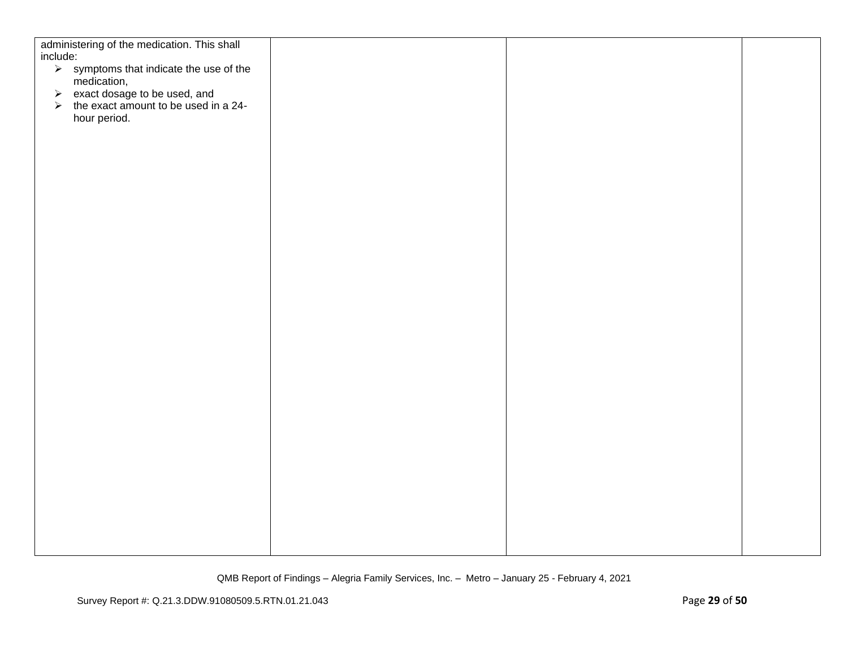| administering of the medication. This shall<br>include:                          |  |  |
|----------------------------------------------------------------------------------|--|--|
| $\triangleright$ symptoms that indicate the use of the                           |  |  |
| medication,                                                                      |  |  |
| $\ge$ exact dosage to be used, and<br>$\ge$ the exact amount to be used in a 24- |  |  |
|                                                                                  |  |  |
| hour period.                                                                     |  |  |
|                                                                                  |  |  |
|                                                                                  |  |  |
|                                                                                  |  |  |
|                                                                                  |  |  |
|                                                                                  |  |  |
|                                                                                  |  |  |
|                                                                                  |  |  |
|                                                                                  |  |  |
|                                                                                  |  |  |
|                                                                                  |  |  |
|                                                                                  |  |  |
|                                                                                  |  |  |
|                                                                                  |  |  |
|                                                                                  |  |  |
|                                                                                  |  |  |
|                                                                                  |  |  |
|                                                                                  |  |  |
|                                                                                  |  |  |
|                                                                                  |  |  |
|                                                                                  |  |  |
|                                                                                  |  |  |
|                                                                                  |  |  |
|                                                                                  |  |  |
|                                                                                  |  |  |
|                                                                                  |  |  |
|                                                                                  |  |  |
|                                                                                  |  |  |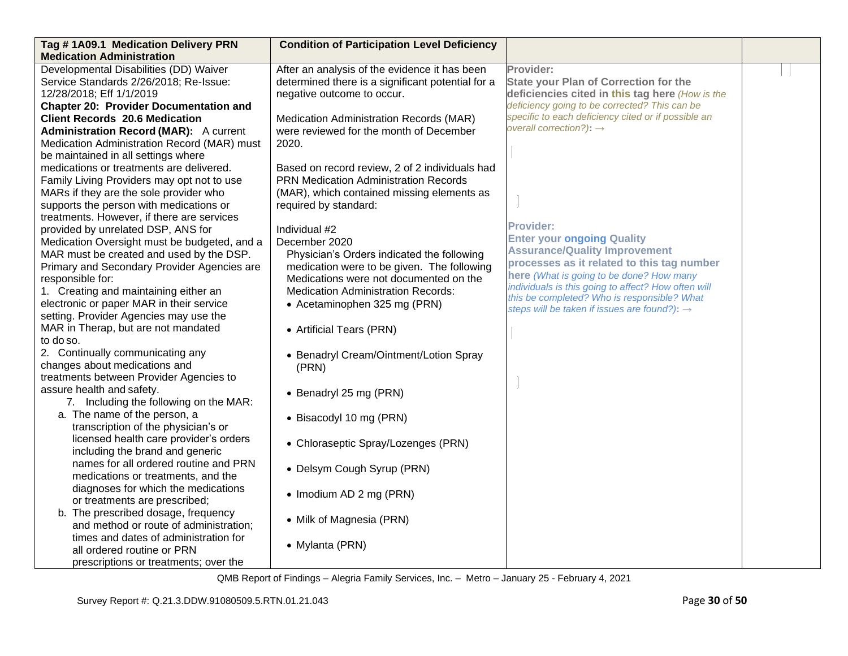| Tag #1A09.1 Medication Delivery PRN           | <b>Condition of Participation Level Deficiency</b> |                                                                                                    |  |
|-----------------------------------------------|----------------------------------------------------|----------------------------------------------------------------------------------------------------|--|
| <b>Medication Administration</b>              |                                                    |                                                                                                    |  |
| Developmental Disabilities (DD) Waiver        | After an analysis of the evidence it has been      | Provider:                                                                                          |  |
| Service Standards 2/26/2018; Re-Issue:        | determined there is a significant potential for a  | <b>State your Plan of Correction for the</b>                                                       |  |
| 12/28/2018; Eff 1/1/2019                      | negative outcome to occur.                         | deficiencies cited in this tag here (How is the                                                    |  |
| <b>Chapter 20: Provider Documentation and</b> |                                                    | deficiency going to be corrected? This can be                                                      |  |
| <b>Client Records 20.6 Medication</b>         | Medication Administration Records (MAR)            | specific to each deficiency cited or if possible an                                                |  |
| <b>Administration Record (MAR):</b> A current | were reviewed for the month of December            | overall correction?): $\rightarrow$                                                                |  |
| Medication Administration Record (MAR) must   | 2020.                                              |                                                                                                    |  |
| be maintained in all settings where           |                                                    |                                                                                                    |  |
| medications or treatments are delivered.      | Based on record review, 2 of 2 individuals had     |                                                                                                    |  |
| Family Living Providers may opt not to use    | <b>PRN Medication Administration Records</b>       |                                                                                                    |  |
| MARs if they are the sole provider who        | (MAR), which contained missing elements as         |                                                                                                    |  |
| supports the person with medications or       | required by standard:                              |                                                                                                    |  |
| treatments. However, if there are services    |                                                    |                                                                                                    |  |
| provided by unrelated DSP, ANS for            | Individual #2                                      | <b>Provider:</b>                                                                                   |  |
| Medication Oversight must be budgeted, and a  | December 2020                                      | <b>Enter your ongoing Quality</b>                                                                  |  |
| MAR must be created and used by the DSP.      | Physician's Orders indicated the following         | <b>Assurance/Quality Improvement</b>                                                               |  |
| Primary and Secondary Provider Agencies are   | medication were to be given. The following         | processes as it related to this tag number                                                         |  |
| responsible for:                              | Medications were not documented on the             | here (What is going to be done? How many                                                           |  |
| 1. Creating and maintaining either an         | <b>Medication Administration Records:</b>          | individuals is this going to affect? How often will<br>this be completed? Who is responsible? What |  |
| electronic or paper MAR in their service      | • Acetaminophen 325 mg (PRN)                       | steps will be taken if issues are found?): $\rightarrow$                                           |  |
| setting. Provider Agencies may use the        |                                                    |                                                                                                    |  |
| MAR in Therap, but are not mandated           | • Artificial Tears (PRN)                           |                                                                                                    |  |
| to do so.                                     |                                                    |                                                                                                    |  |
| 2. Continually communicating any              | • Benadryl Cream/Ointment/Lotion Spray             |                                                                                                    |  |
| changes about medications and                 | (PRN)                                              |                                                                                                    |  |
| treatments between Provider Agencies to       |                                                    |                                                                                                    |  |
| assure health and safety.                     | • Benadryl 25 mg (PRN)                             |                                                                                                    |  |
| 7. Including the following on the MAR:        |                                                    |                                                                                                    |  |
| a. The name of the person, a                  | • Bisacodyl 10 mg (PRN)                            |                                                                                                    |  |
| transcription of the physician's or           |                                                    |                                                                                                    |  |
| licensed health care provider's orders        | • Chloraseptic Spray/Lozenges (PRN)                |                                                                                                    |  |
| including the brand and generic               |                                                    |                                                                                                    |  |
| names for all ordered routine and PRN         | • Delsym Cough Syrup (PRN)                         |                                                                                                    |  |
| medications or treatments, and the            |                                                    |                                                                                                    |  |
| diagnoses for which the medications           | • Imodium AD 2 mg (PRN)                            |                                                                                                    |  |
| or treatments are prescribed;                 |                                                    |                                                                                                    |  |
| b. The prescribed dosage, frequency           | • Milk of Magnesia (PRN)                           |                                                                                                    |  |
| and method or route of administration;        |                                                    |                                                                                                    |  |
| times and dates of administration for         | • Mylanta (PRN)                                    |                                                                                                    |  |
| all ordered routine or PRN                    |                                                    |                                                                                                    |  |
| prescriptions or treatments; over the         |                                                    |                                                                                                    |  |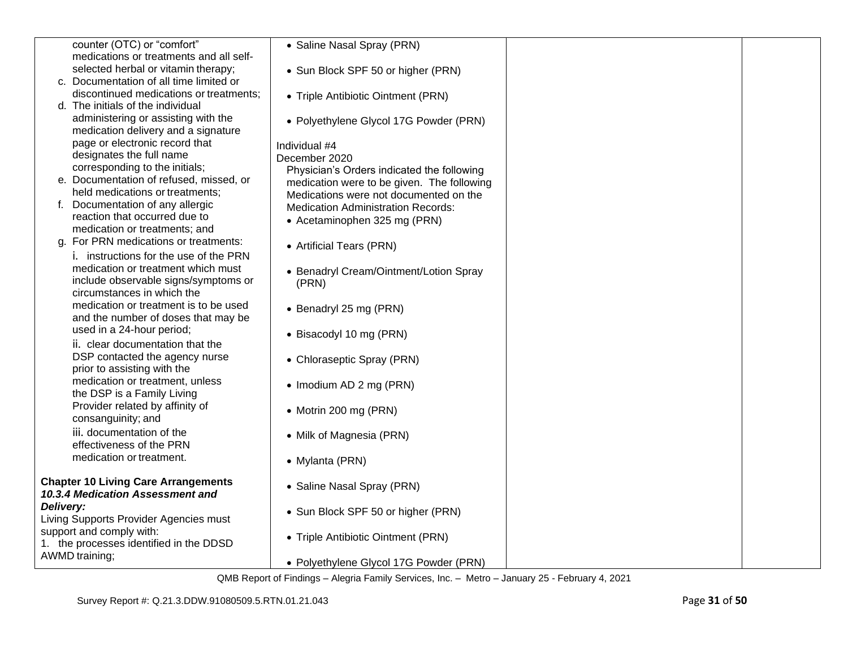| counter (OTC) or "comfort"                                                     | • Saline Nasal Spray (PRN)                                                          |  |
|--------------------------------------------------------------------------------|-------------------------------------------------------------------------------------|--|
| medications or treatments and all self-<br>selected herbal or vitamin therapy; |                                                                                     |  |
| c. Documentation of all time limited or                                        | • Sun Block SPF 50 or higher (PRN)                                                  |  |
| discontinued medications or treatments;                                        | • Triple Antibiotic Ointment (PRN)                                                  |  |
| d. The initials of the individual                                              |                                                                                     |  |
| administering or assisting with the                                            | • Polyethylene Glycol 17G Powder (PRN)                                              |  |
| medication delivery and a signature                                            |                                                                                     |  |
| page or electronic record that                                                 | Individual #4                                                                       |  |
| designates the full name                                                       | December 2020                                                                       |  |
| corresponding to the initials;                                                 | Physician's Orders indicated the following                                          |  |
| e. Documentation of refused, missed, or<br>held medications or treatments;     | medication were to be given. The following                                          |  |
| f. Documentation of any allergic                                               | Medications were not documented on the<br><b>Medication Administration Records:</b> |  |
| reaction that occurred due to                                                  | • Acetaminophen 325 mg (PRN)                                                        |  |
| medication or treatments; and                                                  |                                                                                     |  |
| g. For PRN medications or treatments:                                          | • Artificial Tears (PRN)                                                            |  |
| i. instructions for the use of the PRN                                         |                                                                                     |  |
| medication or treatment which must                                             | • Benadryl Cream/Ointment/Lotion Spray                                              |  |
| include observable signs/symptoms or                                           | (PRN)                                                                               |  |
| circumstances in which the                                                     |                                                                                     |  |
| medication or treatment is to be used                                          | • Benadryl 25 mg (PRN)                                                              |  |
| and the number of doses that may be<br>used in a 24-hour period;               |                                                                                     |  |
| ii. clear documentation that the                                               | • Bisacodyl 10 mg (PRN)                                                             |  |
| DSP contacted the agency nurse                                                 |                                                                                     |  |
| prior to assisting with the                                                    | • Chloraseptic Spray (PRN)                                                          |  |
| medication or treatment, unless                                                | • Imodium AD 2 mg (PRN)                                                             |  |
| the DSP is a Family Living                                                     |                                                                                     |  |
| Provider related by affinity of                                                | • Motrin 200 mg (PRN)                                                               |  |
| consanguinity; and                                                             |                                                                                     |  |
| iii. documentation of the                                                      | • Milk of Magnesia (PRN)                                                            |  |
| effectiveness of the PRN                                                       |                                                                                     |  |
| medication or treatment.                                                       | • Mylanta (PRN)                                                                     |  |
| <b>Chapter 10 Living Care Arrangements</b>                                     |                                                                                     |  |
| 10.3.4 Medication Assessment and                                               | • Saline Nasal Spray (PRN)                                                          |  |
| Delivery:                                                                      | • Sun Block SPF 50 or higher (PRN)                                                  |  |
| Living Supports Provider Agencies must                                         |                                                                                     |  |
| support and comply with:                                                       | • Triple Antibiotic Ointment (PRN)                                                  |  |
| 1. the processes identified in the DDSD                                        |                                                                                     |  |
| AWMD training;                                                                 | • Polyethylene Glycol 17G Powder (PRN)                                              |  |
|                                                                                |                                                                                     |  |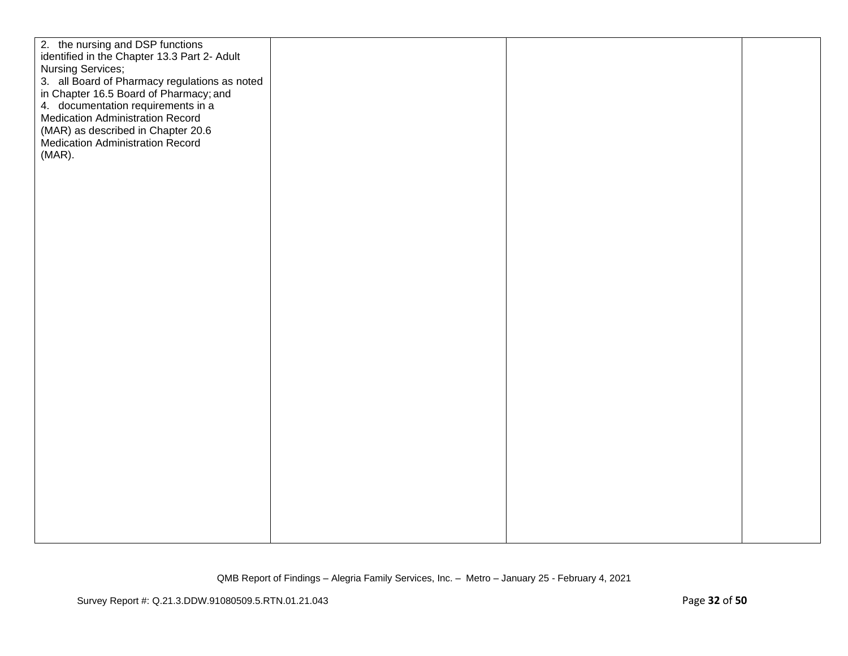| 2. the nursing and DSP functions<br>identified in the Chapter 13.3 Part 2- Adult<br>Nursing Services;<br>3. all Board of Pharmacy regulations as noted<br>in Chapter 16.5 Board of Pharmacy; and<br>4. documentation requirements in a<br><b>Medication Administration Record</b><br>(MAR) as described in Chapter 20.6<br><b>Medication Administration Record</b><br>$(MAR)$ . |  |  |
|---------------------------------------------------------------------------------------------------------------------------------------------------------------------------------------------------------------------------------------------------------------------------------------------------------------------------------------------------------------------------------|--|--|
|                                                                                                                                                                                                                                                                                                                                                                                 |  |  |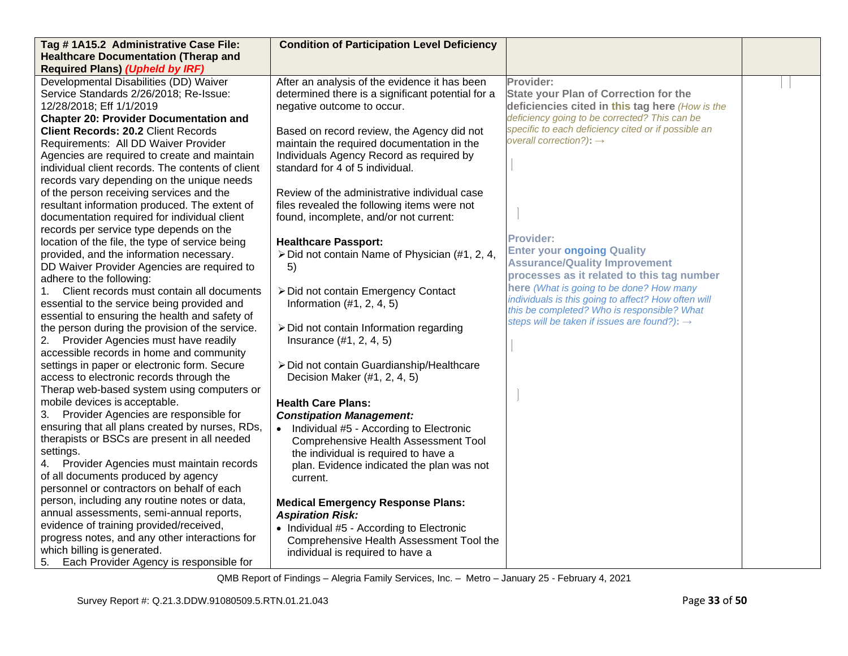| Tag #1A15.2 Administrative Case File:                                   | <b>Condition of Participation Level Deficiency</b> |                                                                                            |  |
|-------------------------------------------------------------------------|----------------------------------------------------|--------------------------------------------------------------------------------------------|--|
| <b>Healthcare Documentation (Therap and</b>                             |                                                    |                                                                                            |  |
| <b>Required Plans) (Upheld by IRF)</b>                                  |                                                    |                                                                                            |  |
| Developmental Disabilities (DD) Waiver                                  | After an analysis of the evidence it has been      | Provider:                                                                                  |  |
| Service Standards 2/26/2018; Re-Issue:                                  | determined there is a significant potential for a  | <b>State your Plan of Correction for the</b>                                               |  |
| 12/28/2018; Eff 1/1/2019                                                | negative outcome to occur.                         | deficiencies cited in this tag here (How is the                                            |  |
| <b>Chapter 20: Provider Documentation and</b>                           |                                                    | deficiency going to be corrected? This can be                                              |  |
| <b>Client Records: 20.2 Client Records</b>                              | Based on record review, the Agency did not         | specific to each deficiency cited or if possible an<br>overall correction?): $\rightarrow$ |  |
| Requirements: All DD Waiver Provider                                    | maintain the required documentation in the         |                                                                                            |  |
| Agencies are required to create and maintain                            | Individuals Agency Record as required by           |                                                                                            |  |
| individual client records. The contents of client                       | standard for 4 of 5 individual.                    |                                                                                            |  |
| records vary depending on the unique needs                              |                                                    |                                                                                            |  |
| of the person receiving services and the                                | Review of the administrative individual case       |                                                                                            |  |
| resultant information produced. The extent of                           | files revealed the following items were not        |                                                                                            |  |
| documentation required for individual client                            | found, incomplete, and/or not current:             |                                                                                            |  |
| records per service type depends on the                                 |                                                    | <b>Provider:</b>                                                                           |  |
| location of the file, the type of service being                         | <b>Healthcare Passport:</b>                        | <b>Enter your ongoing Quality</b>                                                          |  |
| provided, and the information necessary.                                | > Did not contain Name of Physician (#1, 2, 4,     | <b>Assurance/Quality Improvement</b>                                                       |  |
| DD Waiver Provider Agencies are required to<br>adhere to the following: | 5)                                                 | processes as it related to this tag number                                                 |  |
| Client records must contain all documents<br>1.                         | > Did not contain Emergency Contact                | here (What is going to be done? How many                                                   |  |
| essential to the service being provided and                             | Information $(\#1, 2, 4, 5)$                       | individuals is this going to affect? How often will                                        |  |
| essential to ensuring the health and safety of                          |                                                    | this be completed? Who is responsible? What                                                |  |
| the person during the provision of the service.                         | > Did not contain Information regarding            | steps will be taken if issues are found?): $\rightarrow$                                   |  |
| 2.<br>Provider Agencies must have readily                               | Insurance (#1, 2, 4, 5)                            |                                                                                            |  |
| accessible records in home and community                                |                                                    |                                                                                            |  |
| settings in paper or electronic form. Secure                            | > Did not contain Guardianship/Healthcare          |                                                                                            |  |
| access to electronic records through the                                | Decision Maker (#1, 2, 4, 5)                       |                                                                                            |  |
| Therap web-based system using computers or                              |                                                    |                                                                                            |  |
| mobile devices is acceptable.                                           | <b>Health Care Plans:</b>                          |                                                                                            |  |
| 3.<br>Provider Agencies are responsible for                             | <b>Constipation Management:</b>                    |                                                                                            |  |
| ensuring that all plans created by nurses, RDs,                         | • Individual #5 - According to Electronic          |                                                                                            |  |
| therapists or BSCs are present in all needed                            | Comprehensive Health Assessment Tool               |                                                                                            |  |
| settings.                                                               | the individual is required to have a               |                                                                                            |  |
| Provider Agencies must maintain records<br>4.                           | plan. Evidence indicated the plan was not          |                                                                                            |  |
| of all documents produced by agency                                     | current.                                           |                                                                                            |  |
| personnel or contractors on behalf of each                              |                                                    |                                                                                            |  |
| person, including any routine notes or data,                            | <b>Medical Emergency Response Plans:</b>           |                                                                                            |  |
| annual assessments, semi-annual reports,                                | <b>Aspiration Risk:</b>                            |                                                                                            |  |
| evidence of training provided/received,                                 | • Individual #5 - According to Electronic          |                                                                                            |  |
| progress notes, and any other interactions for                          | Comprehensive Health Assessment Tool the           |                                                                                            |  |
| which billing is generated.                                             | individual is required to have a                   |                                                                                            |  |
| Each Provider Agency is responsible for<br>5.                           |                                                    |                                                                                            |  |

QMB Report of Findings – Alegria Family Services, Inc. – Metro – January 25 - February 4, 2021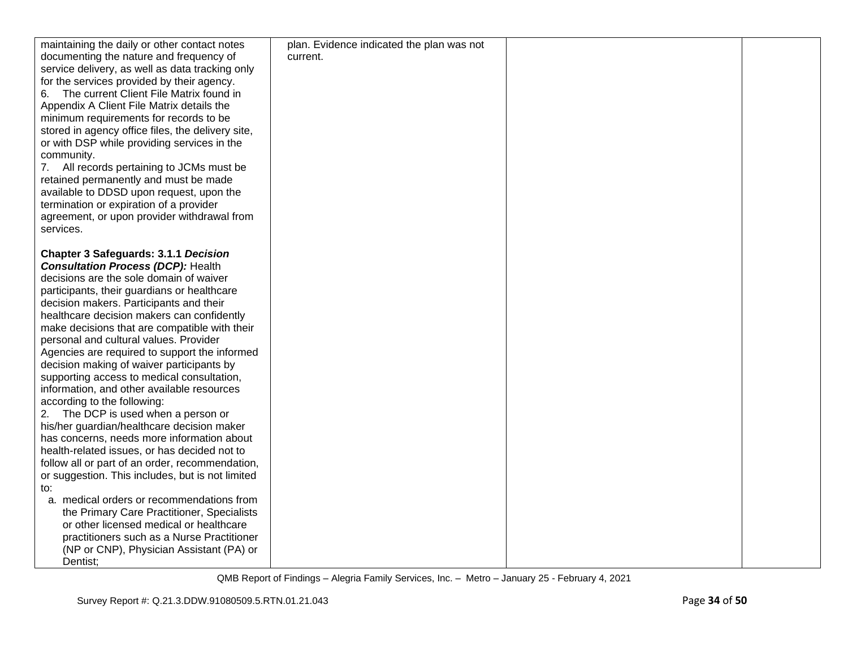| maintaining the daily or other contact notes      | plan. Evidence indicated the plan was not |  |
|---------------------------------------------------|-------------------------------------------|--|
| documenting the nature and frequency of           | current.                                  |  |
| service delivery, as well as data tracking only   |                                           |  |
| for the services provided by their agency.        |                                           |  |
| The current Client File Matrix found in<br>6.     |                                           |  |
| Appendix A Client File Matrix details the         |                                           |  |
| minimum requirements for records to be            |                                           |  |
| stored in agency office files, the delivery site, |                                           |  |
| or with DSP while providing services in the       |                                           |  |
| community.                                        |                                           |  |
| 7. All records pertaining to JCMs must be         |                                           |  |
| retained permanently and must be made             |                                           |  |
| available to DDSD upon request, upon the          |                                           |  |
| termination or expiration of a provider           |                                           |  |
| agreement, or upon provider withdrawal from       |                                           |  |
|                                                   |                                           |  |
| services.                                         |                                           |  |
| <b>Chapter 3 Safeguards: 3.1.1 Decision</b>       |                                           |  |
| <b>Consultation Process (DCP): Health</b>         |                                           |  |
| decisions are the sole domain of waiver           |                                           |  |
|                                                   |                                           |  |
| participants, their guardians or healthcare       |                                           |  |
| decision makers. Participants and their           |                                           |  |
| healthcare decision makers can confidently        |                                           |  |
| make decisions that are compatible with their     |                                           |  |
| personal and cultural values. Provider            |                                           |  |
| Agencies are required to support the informed     |                                           |  |
| decision making of waiver participants by         |                                           |  |
| supporting access to medical consultation,        |                                           |  |
| information, and other available resources        |                                           |  |
| according to the following:                       |                                           |  |
| 2. The DCP is used when a person or               |                                           |  |
| his/her guardian/healthcare decision maker        |                                           |  |
| has concerns, needs more information about        |                                           |  |
| health-related issues, or has decided not to      |                                           |  |
| follow all or part of an order, recommendation,   |                                           |  |
| or suggestion. This includes, but is not limited  |                                           |  |
| to:                                               |                                           |  |
| a. medical orders or recommendations from         |                                           |  |
| the Primary Care Practitioner, Specialists        |                                           |  |
| or other licensed medical or healthcare           |                                           |  |
| practitioners such as a Nurse Practitioner        |                                           |  |
| (NP or CNP), Physician Assistant (PA) or          |                                           |  |
| Dentist;                                          |                                           |  |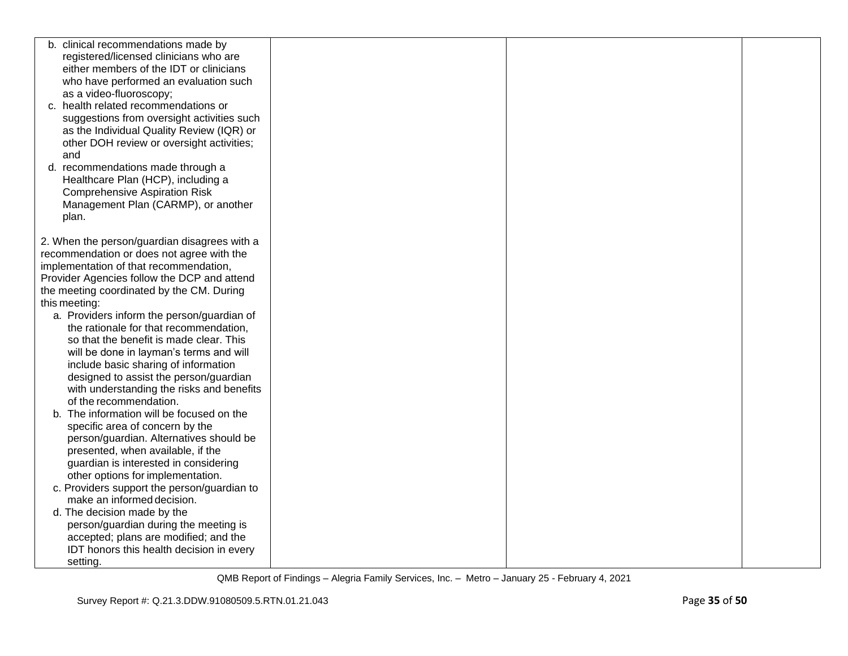| b. clinical recommendations made by          |  |
|----------------------------------------------|--|
| registered/licensed clinicians who are       |  |
| either members of the IDT or clinicians      |  |
| who have performed an evaluation such        |  |
| as a video-fluoroscopy;                      |  |
| c. health related recommendations or         |  |
| suggestions from oversight activities such   |  |
| as the Individual Quality Review (IQR) or    |  |
| other DOH review or oversight activities;    |  |
| and                                          |  |
|                                              |  |
| d. recommendations made through a            |  |
| Healthcare Plan (HCP), including a           |  |
| <b>Comprehensive Aspiration Risk</b>         |  |
| Management Plan (CARMP), or another          |  |
| plan.                                        |  |
|                                              |  |
| 2. When the person/guardian disagrees with a |  |
| recommendation or does not agree with the    |  |
| implementation of that recommendation,       |  |
| Provider Agencies follow the DCP and attend  |  |
| the meeting coordinated by the CM. During    |  |
| this meeting:                                |  |
| a. Providers inform the person/guardian of   |  |
| the rationale for that recommendation,       |  |
| so that the benefit is made clear. This      |  |
| will be done in layman's terms and will      |  |
| include basic sharing of information         |  |
| designed to assist the person/guardian       |  |
| with understanding the risks and benefits    |  |
| of the recommendation.                       |  |
| The information will be focused on the<br>b. |  |
| specific area of concern by the              |  |
| person/guardian. Alternatives should be      |  |
| presented, when available, if the            |  |
| guardian is interested in considering        |  |
| other options for implementation.            |  |
| c. Providers support the person/guardian to  |  |
| make an informed decision.                   |  |
| d. The decision made by the                  |  |
| person/guardian during the meeting is        |  |
| accepted; plans are modified; and the        |  |
| IDT honors this health decision in every     |  |
| setting.                                     |  |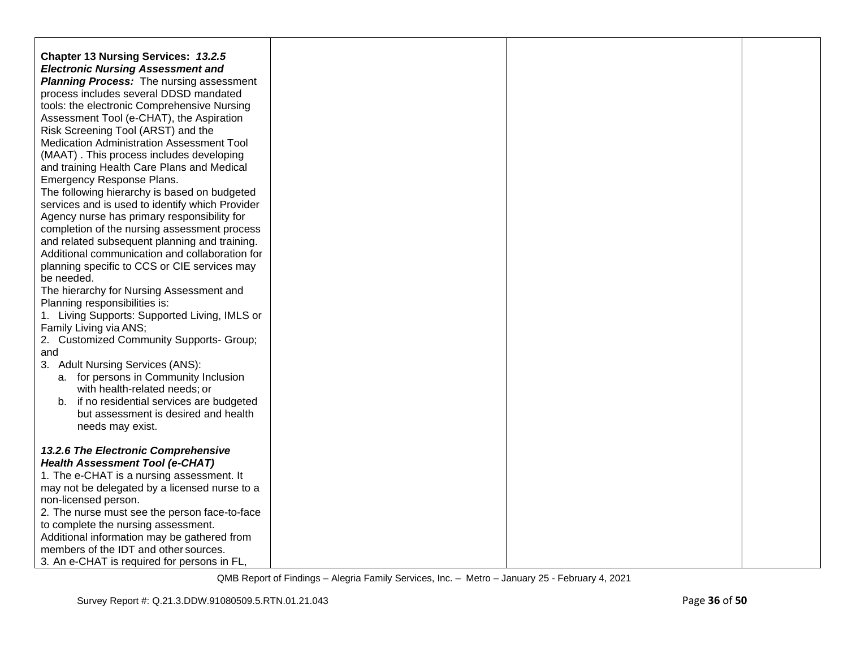| <b>Chapter 13 Nursing Services: 13.2.5</b><br><b>Electronic Nursing Assessment and</b><br><b>Planning Process:</b> The nursing assessment |  |  |
|-------------------------------------------------------------------------------------------------------------------------------------------|--|--|
| process includes several DDSD mandated                                                                                                    |  |  |
| tools: the electronic Comprehensive Nursing                                                                                               |  |  |
| Assessment Tool (e-CHAT), the Aspiration                                                                                                  |  |  |
| Risk Screening Tool (ARST) and the                                                                                                        |  |  |
| <b>Medication Administration Assessment Tool</b>                                                                                          |  |  |
| (MAAT). This process includes developing<br>and training Health Care Plans and Medical                                                    |  |  |
| Emergency Response Plans.                                                                                                                 |  |  |
| The following hierarchy is based on budgeted                                                                                              |  |  |
| services and is used to identify which Provider                                                                                           |  |  |
| Agency nurse has primary responsibility for                                                                                               |  |  |
| completion of the nursing assessment process                                                                                              |  |  |
| and related subsequent planning and training.<br>Additional communication and collaboration for                                           |  |  |
| planning specific to CCS or CIE services may                                                                                              |  |  |
| be needed.                                                                                                                                |  |  |
| The hierarchy for Nursing Assessment and                                                                                                  |  |  |
| Planning responsibilities is:                                                                                                             |  |  |
| 1. Living Supports: Supported Living, IMLS or                                                                                             |  |  |
| Family Living via ANS;<br>2. Customized Community Supports- Group;                                                                        |  |  |
| and                                                                                                                                       |  |  |
| 3. Adult Nursing Services (ANS):                                                                                                          |  |  |
| a. for persons in Community Inclusion                                                                                                     |  |  |
| with health-related needs; or                                                                                                             |  |  |
| b. if no residential services are budgeted                                                                                                |  |  |
| but assessment is desired and health<br>needs may exist.                                                                                  |  |  |
|                                                                                                                                           |  |  |
| 13.2.6 The Electronic Comprehensive                                                                                                       |  |  |
| <b>Health Assessment Tool (e-CHAT)</b>                                                                                                    |  |  |
| 1. The e-CHAT is a nursing assessment. It                                                                                                 |  |  |
| may not be delegated by a licensed nurse to a<br>non-licensed person.                                                                     |  |  |
| 2. The nurse must see the person face-to-face                                                                                             |  |  |
| to complete the nursing assessment.                                                                                                       |  |  |
| Additional information may be gathered from                                                                                               |  |  |
| members of the IDT and other sources.                                                                                                     |  |  |
| 3. An e-CHAT is required for persons in FL,                                                                                               |  |  |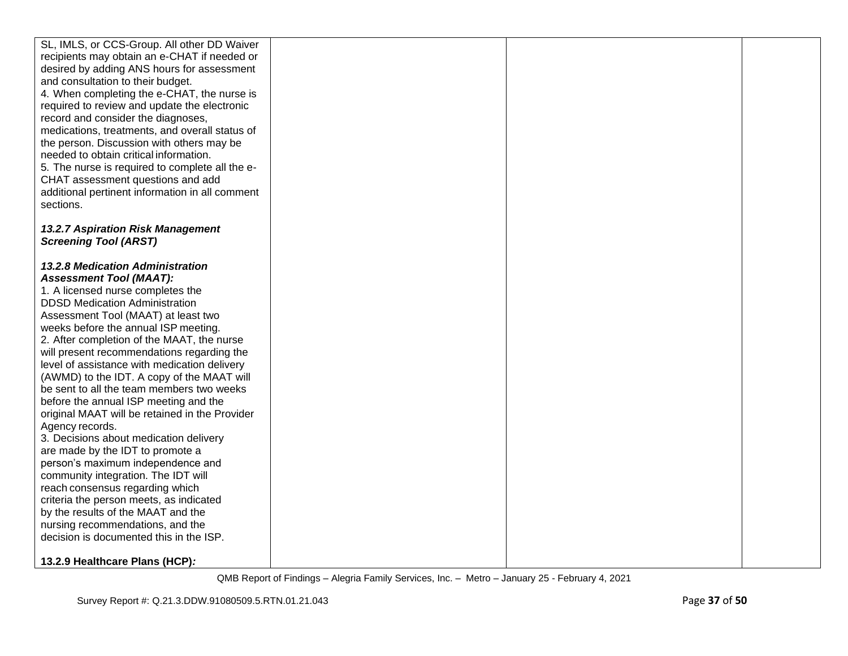| SL, IMLS, or CCS-Group. All other DD Waiver     |  |  |
|-------------------------------------------------|--|--|
| recipients may obtain an e-CHAT if needed or    |  |  |
| desired by adding ANS hours for assessment      |  |  |
| and consultation to their budget.               |  |  |
|                                                 |  |  |
| 4. When completing the e-CHAT, the nurse is     |  |  |
| required to review and update the electronic    |  |  |
| record and consider the diagnoses,              |  |  |
| medications, treatments, and overall status of  |  |  |
| the person. Discussion with others may be       |  |  |
| needed to obtain critical information.          |  |  |
| 5. The nurse is required to complete all the e- |  |  |
| CHAT assessment questions and add               |  |  |
| additional pertinent information in all comment |  |  |
| sections.                                       |  |  |
|                                                 |  |  |
| <b>13.2.7 Aspiration Risk Management</b>        |  |  |
| <b>Screening Tool (ARST)</b>                    |  |  |
|                                                 |  |  |
| 13.2.8 Medication Administration                |  |  |
| <b>Assessment Tool (MAAT):</b>                  |  |  |
| 1. A licensed nurse completes the               |  |  |
| <b>DDSD Medication Administration</b>           |  |  |
| Assessment Tool (MAAT) at least two             |  |  |
| weeks before the annual ISP meeting.            |  |  |
| 2. After completion of the MAAT, the nurse      |  |  |
| will present recommendations regarding the      |  |  |
| level of assistance with medication delivery    |  |  |
| (AWMD) to the IDT. A copy of the MAAT will      |  |  |
| be sent to all the team members two weeks       |  |  |
| before the annual ISP meeting and the           |  |  |
| original MAAT will be retained in the Provider  |  |  |
| Agency records.                                 |  |  |
| 3. Decisions about medication delivery          |  |  |
| are made by the IDT to promote a                |  |  |
| person's maximum independence and               |  |  |
| community integration. The IDT will             |  |  |
| reach consensus regarding which                 |  |  |
| criteria the person meets, as indicated         |  |  |
| by the results of the MAAT and the              |  |  |
| nursing recommendations, and the                |  |  |
| decision is documented this in the ISP.         |  |  |
|                                                 |  |  |
| 13.2.9 Healthcare Plans (HCP):                  |  |  |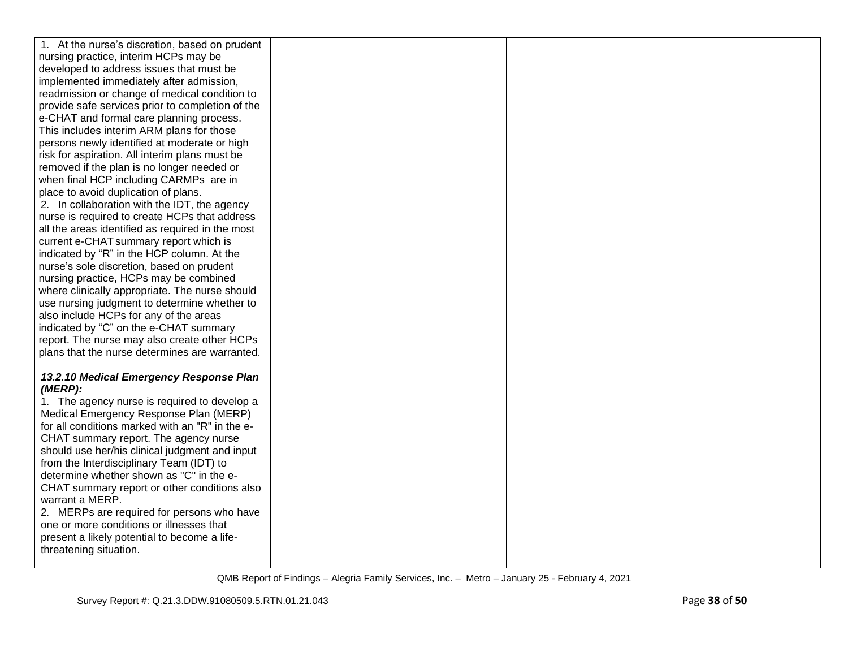| 1. At the nurse's discretion, based on prudent   |  |  |
|--------------------------------------------------|--|--|
| nursing practice, interim HCPs may be            |  |  |
| developed to address issues that must be         |  |  |
| implemented immediately after admission,         |  |  |
| readmission or change of medical condition to    |  |  |
| provide safe services prior to completion of the |  |  |
| e-CHAT and formal care planning process.         |  |  |
| This includes interim ARM plans for those        |  |  |
| persons newly identified at moderate or high     |  |  |
| risk for aspiration. All interim plans must be   |  |  |
| removed if the plan is no longer needed or       |  |  |
| when final HCP including CARMPs are in           |  |  |
| place to avoid duplication of plans.             |  |  |
| 2. In collaboration with the IDT, the agency     |  |  |
| nurse is required to create HCPs that address    |  |  |
| all the areas identified as required in the most |  |  |
| current e-CHAT summary report which is           |  |  |
| indicated by "R" in the HCP column. At the       |  |  |
| nurse's sole discretion, based on prudent        |  |  |
| nursing practice, HCPs may be combined           |  |  |
| where clinically appropriate. The nurse should   |  |  |
| use nursing judgment to determine whether to     |  |  |
| also include HCPs for any of the areas           |  |  |
| indicated by "C" on the e-CHAT summary           |  |  |
| report. The nurse may also create other HCPs     |  |  |
| plans that the nurse determines are warranted.   |  |  |
|                                                  |  |  |
| 13.2.10 Medical Emergency Response Plan          |  |  |
| (MERP):                                          |  |  |
| 1. The agency nurse is required to develop a     |  |  |
| Medical Emergency Response Plan (MERP)           |  |  |
| for all conditions marked with an "R" in the e-  |  |  |
| CHAT summary report. The agency nurse            |  |  |
| should use her/his clinical judgment and input   |  |  |
| from the Interdisciplinary Team (IDT) to         |  |  |
| determine whether shown as "C" in the e-         |  |  |
| CHAT summary report or other conditions also     |  |  |
| warrant a MERP.                                  |  |  |
| 2. MERPs are required for persons who have       |  |  |
| one or more conditions or illnesses that         |  |  |
| present a likely potential to become a life-     |  |  |
| threatening situation.                           |  |  |
|                                                  |  |  |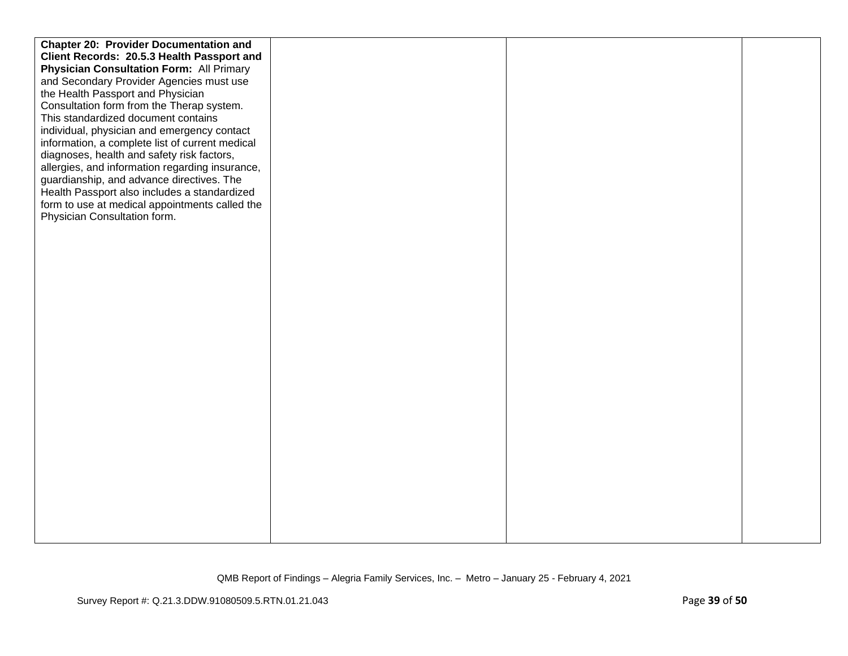| <b>Chapter 20: Provider Documentation and</b>   |  |  |
|-------------------------------------------------|--|--|
| Client Records: 20.5.3 Health Passport and      |  |  |
| <b>Physician Consultation Form: All Primary</b> |  |  |
| and Secondary Provider Agencies must use        |  |  |
| the Health Passport and Physician               |  |  |
| Consultation form from the Therap system.       |  |  |
| This standardized document contains             |  |  |
| individual, physician and emergency contact     |  |  |
| information, a complete list of current medical |  |  |
| diagnoses, health and safety risk factors,      |  |  |
| allergies, and information regarding insurance, |  |  |
| guardianship, and advance directives. The       |  |  |
| Health Passport also includes a standardized    |  |  |
| form to use at medical appointments called the  |  |  |
| Physician Consultation form.                    |  |  |
|                                                 |  |  |
|                                                 |  |  |
|                                                 |  |  |
|                                                 |  |  |
|                                                 |  |  |
|                                                 |  |  |
|                                                 |  |  |
|                                                 |  |  |
|                                                 |  |  |
|                                                 |  |  |
|                                                 |  |  |
|                                                 |  |  |
|                                                 |  |  |
|                                                 |  |  |
|                                                 |  |  |
|                                                 |  |  |
|                                                 |  |  |
|                                                 |  |  |
|                                                 |  |  |
|                                                 |  |  |
|                                                 |  |  |
|                                                 |  |  |
|                                                 |  |  |
|                                                 |  |  |
|                                                 |  |  |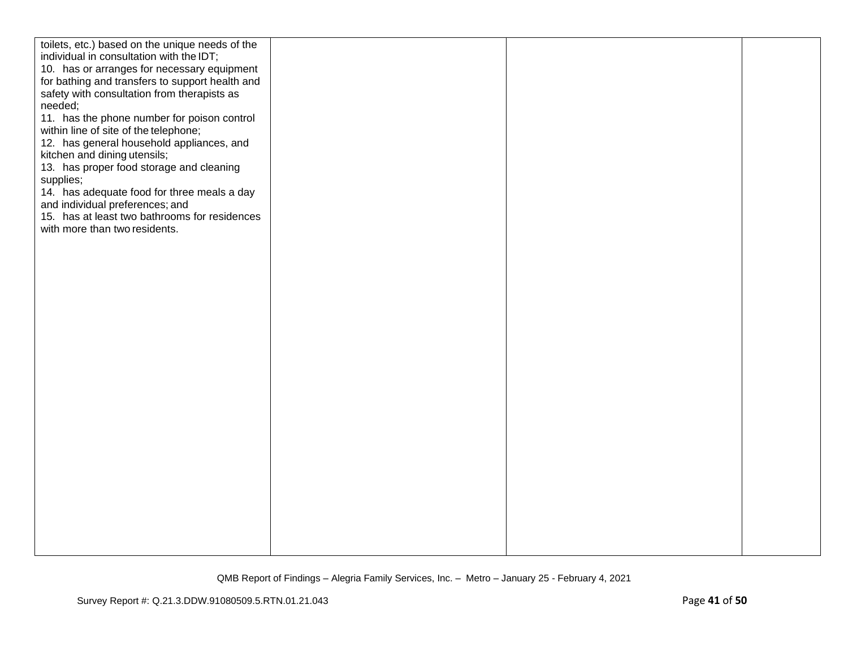| toilets, etc.) based on the unique needs of the<br>individual in consultation with the IDT;<br>10. has or arranges for necessary equipment<br>for bathing and transfers to support health and<br>safety with consultation from therapists as<br>needed;<br>11. has the phone number for poison control<br>within line of site of the telephone;<br>12. has general household appliances, and<br>kitchen and dining utensils;<br>13. has proper food storage and cleaning<br>supplies;<br>14. has adequate food for three meals a day<br>and individual preferences; and<br>15. has at least two bathrooms for residences<br>with more than two residents. |  |  |
|-----------------------------------------------------------------------------------------------------------------------------------------------------------------------------------------------------------------------------------------------------------------------------------------------------------------------------------------------------------------------------------------------------------------------------------------------------------------------------------------------------------------------------------------------------------------------------------------------------------------------------------------------------------|--|--|
|                                                                                                                                                                                                                                                                                                                                                                                                                                                                                                                                                                                                                                                           |  |  |
|                                                                                                                                                                                                                                                                                                                                                                                                                                                                                                                                                                                                                                                           |  |  |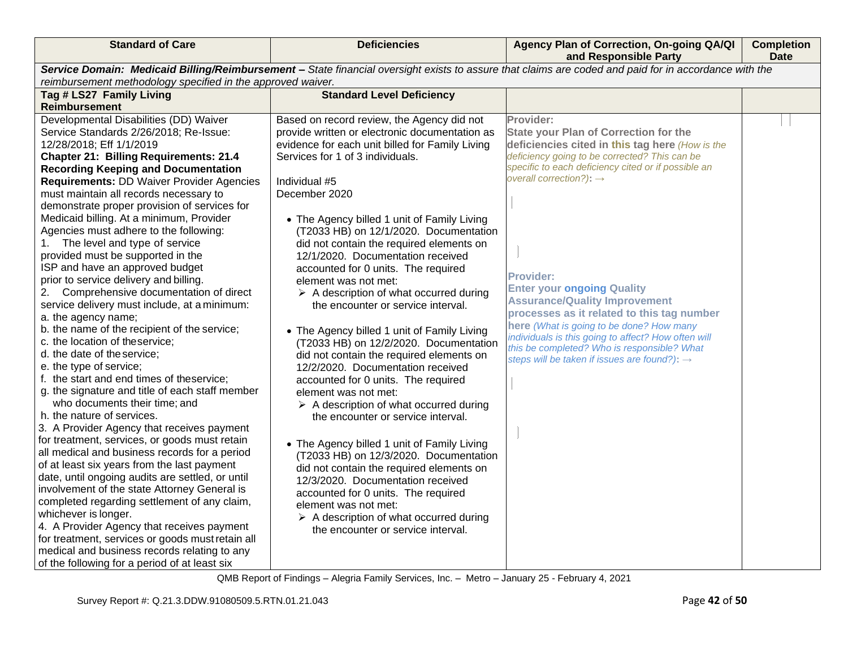| <b>Standard of Care</b>                                                                                                                               | <b>Deficiencies</b>                                                           | Agency Plan of Correction, On-going QA/QI<br>and Responsible Party                         | <b>Completion</b><br>Date |  |  |
|-------------------------------------------------------------------------------------------------------------------------------------------------------|-------------------------------------------------------------------------------|--------------------------------------------------------------------------------------------|---------------------------|--|--|
| Service Domain: Medicaid Billing/Reimbursement - State financial oversight exists to assure that claims are coded and paid for in accordance with the |                                                                               |                                                                                            |                           |  |  |
| reimbursement methodology specified in the approved waiver.                                                                                           |                                                                               |                                                                                            |                           |  |  |
| Tag # LS27 Family Living                                                                                                                              | <b>Standard Level Deficiency</b>                                              |                                                                                            |                           |  |  |
| <b>Reimbursement</b>                                                                                                                                  |                                                                               |                                                                                            |                           |  |  |
| Developmental Disabilities (DD) Waiver                                                                                                                | Based on record review, the Agency did not                                    | Provider:                                                                                  |                           |  |  |
| Service Standards 2/26/2018; Re-Issue:                                                                                                                | provide written or electronic documentation as                                | <b>State your Plan of Correction for the</b>                                               |                           |  |  |
| 12/28/2018; Eff 1/1/2019                                                                                                                              | evidence for each unit billed for Family Living                               | deficiencies cited in this tag here (How is the                                            |                           |  |  |
| <b>Chapter 21: Billing Requirements: 21.4</b>                                                                                                         | Services for 1 of 3 individuals.                                              | deficiency going to be corrected? This can be                                              |                           |  |  |
| <b>Recording Keeping and Documentation</b>                                                                                                            |                                                                               | specific to each deficiency cited or if possible an<br>overall correction?): $\rightarrow$ |                           |  |  |
| <b>Requirements: DD Waiver Provider Agencies</b>                                                                                                      | Individual #5                                                                 |                                                                                            |                           |  |  |
| must maintain all records necessary to                                                                                                                | December 2020                                                                 |                                                                                            |                           |  |  |
| demonstrate proper provision of services for                                                                                                          |                                                                               |                                                                                            |                           |  |  |
| Medicaid billing. At a minimum, Provider                                                                                                              | • The Agency billed 1 unit of Family Living                                   |                                                                                            |                           |  |  |
| Agencies must adhere to the following:<br>1. The level and type of service                                                                            | (T2033 HB) on 12/1/2020. Documentation                                        |                                                                                            |                           |  |  |
| provided must be supported in the                                                                                                                     | did not contain the required elements on<br>12/1/2020. Documentation received |                                                                                            |                           |  |  |
| ISP and have an approved budget                                                                                                                       | accounted for 0 units. The required                                           |                                                                                            |                           |  |  |
| prior to service delivery and billing.                                                                                                                | element was not met:                                                          | <b>Provider:</b>                                                                           |                           |  |  |
| 2. Comprehensive documentation of direct                                                                                                              | $\triangleright$ A description of what occurred during                        | <b>Enter your ongoing Quality</b>                                                          |                           |  |  |
| service delivery must include, at a minimum:                                                                                                          | the encounter or service interval.                                            | <b>Assurance/Quality Improvement</b>                                                       |                           |  |  |
| a. the agency name;                                                                                                                                   |                                                                               | processes as it related to this tag number                                                 |                           |  |  |
| b. the name of the recipient of the service;                                                                                                          | • The Agency billed 1 unit of Family Living                                   | here (What is going to be done? How many                                                   |                           |  |  |
| c. the location of theservice;                                                                                                                        | (T2033 HB) on 12/2/2020. Documentation                                        | individuals is this going to affect? How often will                                        |                           |  |  |
| d. the date of the service;                                                                                                                           | did not contain the required elements on                                      | this be completed? Who is responsible? What                                                |                           |  |  |
| e. the type of service;                                                                                                                               | 12/2/2020. Documentation received                                             | steps will be taken if issues are found?): $\rightarrow$                                   |                           |  |  |
| f. the start and end times of theservice;                                                                                                             | accounted for 0 units. The required                                           |                                                                                            |                           |  |  |
| g. the signature and title of each staff member                                                                                                       | element was not met:                                                          |                                                                                            |                           |  |  |
| who documents their time; and                                                                                                                         | $\triangleright$ A description of what occurred during                        |                                                                                            |                           |  |  |
| h. the nature of services.                                                                                                                            | the encounter or service interval.                                            |                                                                                            |                           |  |  |
| 3. A Provider Agency that receives payment                                                                                                            |                                                                               |                                                                                            |                           |  |  |
| for treatment, services, or goods must retain                                                                                                         | • The Agency billed 1 unit of Family Living                                   |                                                                                            |                           |  |  |
| all medical and business records for a period                                                                                                         | (T2033 HB) on 12/3/2020. Documentation                                        |                                                                                            |                           |  |  |
| of at least six years from the last payment                                                                                                           | did not contain the required elements on                                      |                                                                                            |                           |  |  |
| date, until ongoing audits are settled, or until                                                                                                      | 12/3/2020. Documentation received                                             |                                                                                            |                           |  |  |
| involvement of the state Attorney General is                                                                                                          | accounted for 0 units. The required                                           |                                                                                            |                           |  |  |
| completed regarding settlement of any claim,                                                                                                          | element was not met:                                                          |                                                                                            |                           |  |  |
| whichever is longer.                                                                                                                                  | $\triangleright$ A description of what occurred during                        |                                                                                            |                           |  |  |
| 4. A Provider Agency that receives payment                                                                                                            | the encounter or service interval.                                            |                                                                                            |                           |  |  |
| for treatment, services or goods must retain all                                                                                                      |                                                                               |                                                                                            |                           |  |  |
| medical and business records relating to any                                                                                                          |                                                                               |                                                                                            |                           |  |  |
| of the following for a period of at least six                                                                                                         |                                                                               |                                                                                            |                           |  |  |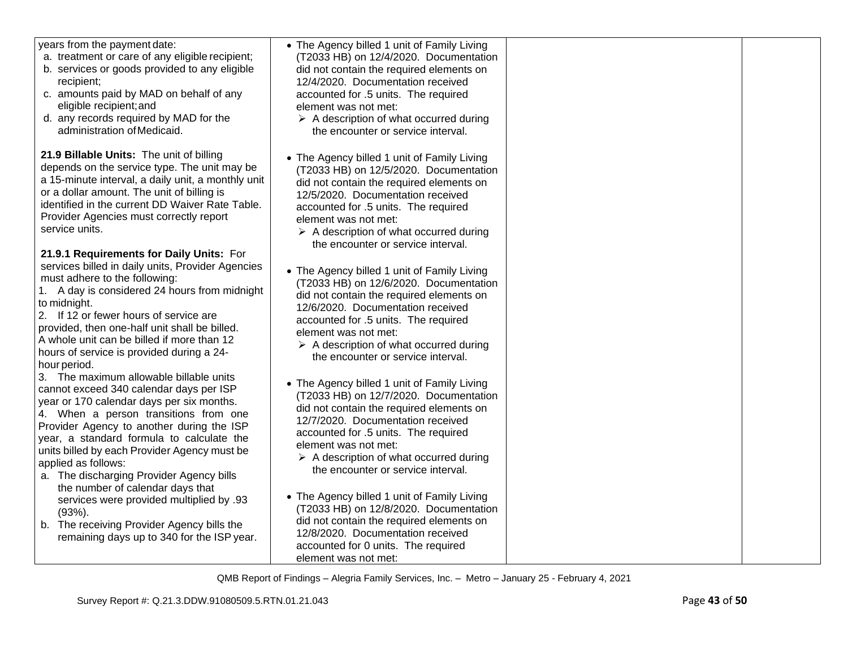| years from the payment date:<br>a. treatment or care of any eligible recipient;<br>b. services or goods provided to any eligible<br>recipient;<br>c. amounts paid by MAD on behalf of any<br>eligible recipient; and<br>d. any records required by MAD for the<br>administration of Medicaid.                                                                                                         | • The Agency billed 1 unit of Family Living<br>(T2033 HB) on 12/4/2020. Documentation<br>did not contain the required elements on<br>12/4/2020. Documentation received<br>accounted for .5 units. The required<br>element was not met:<br>$\triangleright$ A description of what occurred during<br>the encounter or service interval. |  |
|-------------------------------------------------------------------------------------------------------------------------------------------------------------------------------------------------------------------------------------------------------------------------------------------------------------------------------------------------------------------------------------------------------|----------------------------------------------------------------------------------------------------------------------------------------------------------------------------------------------------------------------------------------------------------------------------------------------------------------------------------------|--|
| 21.9 Billable Units: The unit of billing<br>depends on the service type. The unit may be<br>a 15-minute interval, a daily unit, a monthly unit<br>or a dollar amount. The unit of billing is<br>identified in the current DD Waiver Rate Table.<br>Provider Agencies must correctly report<br>service units.                                                                                          | • The Agency billed 1 unit of Family Living<br>(T2033 HB) on 12/5/2020. Documentation<br>did not contain the required elements on<br>12/5/2020. Documentation received<br>accounted for .5 units. The required<br>element was not met:<br>$\triangleright$ A description of what occurred during<br>the encounter or service interval. |  |
| 21.9.1 Requirements for Daily Units: For<br>services billed in daily units, Provider Agencies<br>must adhere to the following:<br>1. A day is considered 24 hours from midnight<br>to midnight.<br>2. If 12 or fewer hours of service are<br>provided, then one-half unit shall be billed.<br>A whole unit can be billed if more than 12<br>hours of service is provided during a 24-<br>hour period. | • The Agency billed 1 unit of Family Living<br>(T2033 HB) on 12/6/2020. Documentation<br>did not contain the required elements on<br>12/6/2020. Documentation received<br>accounted for .5 units. The required<br>element was not met:<br>$\triangleright$ A description of what occurred during<br>the encounter or service interval. |  |
| 3. The maximum allowable billable units<br>cannot exceed 340 calendar days per ISP<br>year or 170 calendar days per six months.<br>4. When a person transitions from one<br>Provider Agency to another during the ISP<br>year, a standard formula to calculate the<br>units billed by each Provider Agency must be<br>applied as follows:<br>a. The discharging Provider Agency bills                 | • The Agency billed 1 unit of Family Living<br>(T2033 HB) on 12/7/2020. Documentation<br>did not contain the required elements on<br>12/7/2020. Documentation received<br>accounted for .5 units. The required<br>element was not met:<br>$\triangleright$ A description of what occurred during<br>the encounter or service interval. |  |
| the number of calendar days that<br>services were provided multiplied by .93<br>$(93%)$ .<br>b. The receiving Provider Agency bills the<br>remaining days up to 340 for the ISP year.                                                                                                                                                                                                                 | • The Agency billed 1 unit of Family Living<br>(T2033 HB) on 12/8/2020. Documentation<br>did not contain the required elements on<br>12/8/2020. Documentation received<br>accounted for 0 units. The required<br>element was not met:                                                                                                  |  |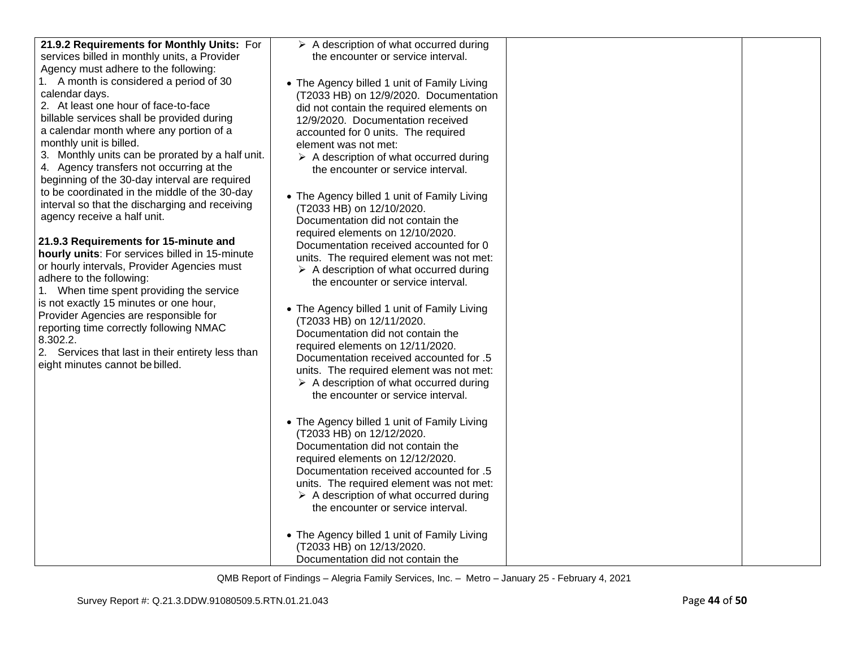| 21.9.2 Requirements for Monthly Units: For        | $\triangleright$ A description of what occurred during                   |  |
|---------------------------------------------------|--------------------------------------------------------------------------|--|
| services billed in monthly units, a Provider      | the encounter or service interval.                                       |  |
| Agency must adhere to the following:              |                                                                          |  |
| 1. A month is considered a period of 30           |                                                                          |  |
| calendar days.                                    | • The Agency billed 1 unit of Family Living                              |  |
| 2. At least one hour of face-to-face              | (T2033 HB) on 12/9/2020. Documentation                                   |  |
| billable services shall be provided during        | did not contain the required elements on                                 |  |
|                                                   | 12/9/2020. Documentation received                                        |  |
| a calendar month where any portion of a           | accounted for 0 units. The required                                      |  |
| monthly unit is billed.                           | element was not met:                                                     |  |
| 3. Monthly units can be prorated by a half unit.  | $\triangleright$ A description of what occurred during                   |  |
| 4. Agency transfers not occurring at the          | the encounter or service interval.                                       |  |
| beginning of the 30-day interval are required     |                                                                          |  |
| to be coordinated in the middle of the 30-day     | • The Agency billed 1 unit of Family Living                              |  |
| interval so that the discharging and receiving    | (T2033 HB) on 12/10/2020.                                                |  |
| agency receive a half unit.                       | Documentation did not contain the                                        |  |
|                                                   | required elements on 12/10/2020.                                         |  |
| 21.9.3 Requirements for 15-minute and             | Documentation received accounted for 0                                   |  |
| hourly units: For services billed in 15-minute    | units. The required element was not met:                                 |  |
| or hourly intervals, Provider Agencies must       | $\triangleright$ A description of what occurred during                   |  |
| adhere to the following:                          | the encounter or service interval.                                       |  |
| 1. When time spent providing the service          |                                                                          |  |
| is not exactly 15 minutes or one hour,            | • The Agency billed 1 unit of Family Living                              |  |
| Provider Agencies are responsible for             | (T2033 HB) on 12/11/2020.                                                |  |
| reporting time correctly following NMAC           | Documentation did not contain the                                        |  |
| 8.302.2.                                          | required elements on 12/11/2020.                                         |  |
| 2. Services that last in their entirety less than | Documentation received accounted for .5                                  |  |
| eight minutes cannot be billed.                   | units. The required element was not met:                                 |  |
|                                                   | $\triangleright$ A description of what occurred during                   |  |
|                                                   | the encounter or service interval.                                       |  |
|                                                   |                                                                          |  |
|                                                   |                                                                          |  |
|                                                   | • The Agency billed 1 unit of Family Living<br>(T2033 HB) on 12/12/2020. |  |
|                                                   | Documentation did not contain the                                        |  |
|                                                   |                                                                          |  |
|                                                   | required elements on 12/12/2020.                                         |  |
|                                                   | 5. Documentation received accounted for                                  |  |
|                                                   | units. The required element was not met:                                 |  |
|                                                   | $\triangleright$ A description of what occurred during                   |  |
|                                                   | the encounter or service interval.                                       |  |
|                                                   |                                                                          |  |
|                                                   | • The Agency billed 1 unit of Family Living                              |  |
|                                                   | (T2033 HB) on 12/13/2020.                                                |  |
|                                                   | Documentation did not contain the                                        |  |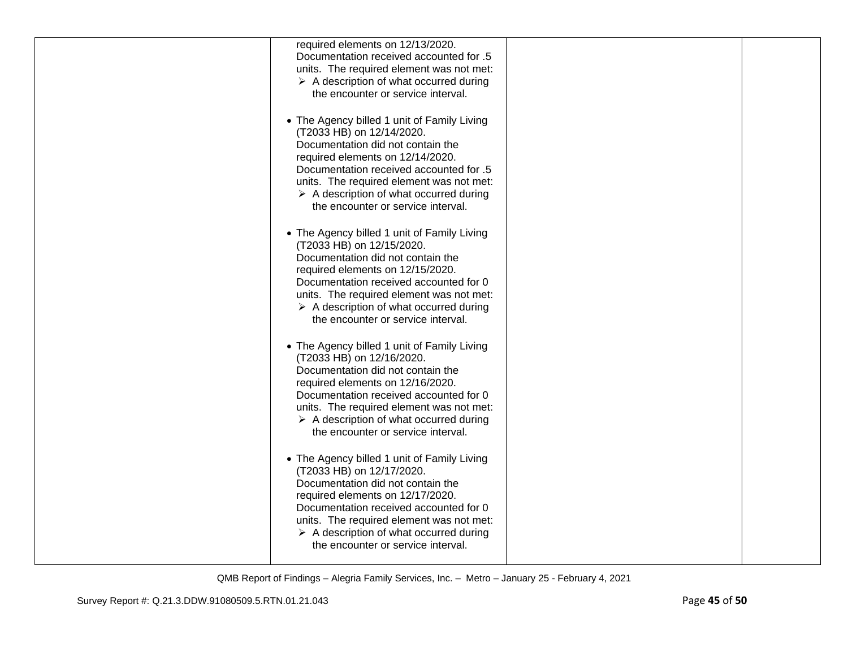| required elements on 12/13/2020.<br>Documentation received accounted for .5                                                                                                                                                                                                                                                              |  |
|------------------------------------------------------------------------------------------------------------------------------------------------------------------------------------------------------------------------------------------------------------------------------------------------------------------------------------------|--|
| units. The required element was not met:<br>$\triangleright$ A description of what occurred during<br>the encounter or service interval.                                                                                                                                                                                                 |  |
| • The Agency billed 1 unit of Family Living<br>(T2033 HB) on 12/14/2020.<br>Documentation did not contain the<br>required elements on 12/14/2020.<br>Documentation received accounted for .5<br>units. The required element was not met:<br>$\triangleright$ A description of what occurred during<br>the encounter or service interval. |  |
| • The Agency billed 1 unit of Family Living<br>(T2033 HB) on 12/15/2020.<br>Documentation did not contain the<br>required elements on 12/15/2020.<br>Documentation received accounted for 0<br>units. The required element was not met:<br>$\triangleright$ A description of what occurred during<br>the encounter or service interval.  |  |
| • The Agency billed 1 unit of Family Living<br>(T2033 HB) on 12/16/2020.<br>Documentation did not contain the<br>required elements on 12/16/2020.<br>Documentation received accounted for 0<br>units. The required element was not met:<br>$\triangleright$ A description of what occurred during<br>the encounter or service interval.  |  |
| • The Agency billed 1 unit of Family Living<br>(T2033 HB) on 12/17/2020.<br>Documentation did not contain the<br>required elements on 12/17/2020.<br>Documentation received accounted for 0<br>units. The required element was not met:<br>$\triangleright$ A description of what occurred during<br>the encounter or service interval.  |  |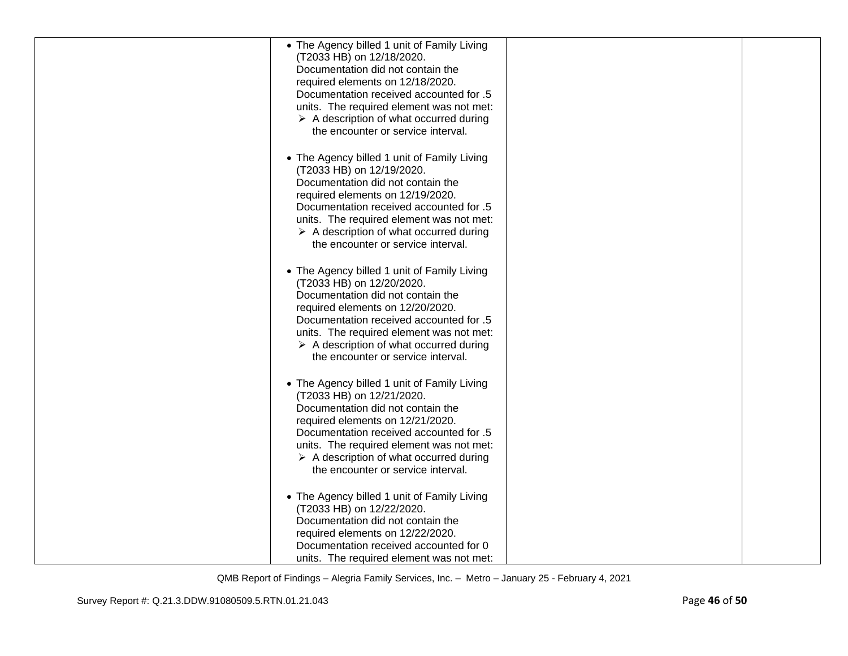| • The Agency billed 1 unit of Family Living<br>(T2033 HB) on 12/18/2020.<br>Documentation did not contain the<br>required elements on 12/18/2020.<br>Documentation received accounted for .5<br>units. The required element was not met:<br>$\triangleright$ A description of what occurred during<br>the encounter or service interval. |  |
|------------------------------------------------------------------------------------------------------------------------------------------------------------------------------------------------------------------------------------------------------------------------------------------------------------------------------------------|--|
| • The Agency billed 1 unit of Family Living<br>(T2033 HB) on 12/19/2020.<br>Documentation did not contain the<br>required elements on 12/19/2020.<br>Documentation received accounted for .5<br>units. The required element was not met:<br>$\triangleright$ A description of what occurred during<br>the encounter or service interval. |  |
| • The Agency billed 1 unit of Family Living<br>(T2033 HB) on 12/20/2020.<br>Documentation did not contain the<br>required elements on 12/20/2020.<br>Documentation received accounted for .5<br>units. The required element was not met:<br>$\triangleright$ A description of what occurred during<br>the encounter or service interval. |  |
| • The Agency billed 1 unit of Family Living<br>(T2033 HB) on 12/21/2020.<br>Documentation did not contain the<br>required elements on 12/21/2020.<br>Documentation received accounted for .5<br>units. The required element was not met:<br>$\triangleright$ A description of what occurred during<br>the encounter or service interval. |  |
| • The Agency billed 1 unit of Family Living<br>(T2033 HB) on 12/22/2020.<br>Documentation did not contain the<br>required elements on 12/22/2020.<br>Documentation received accounted for 0<br>units. The required element was not met:                                                                                                  |  |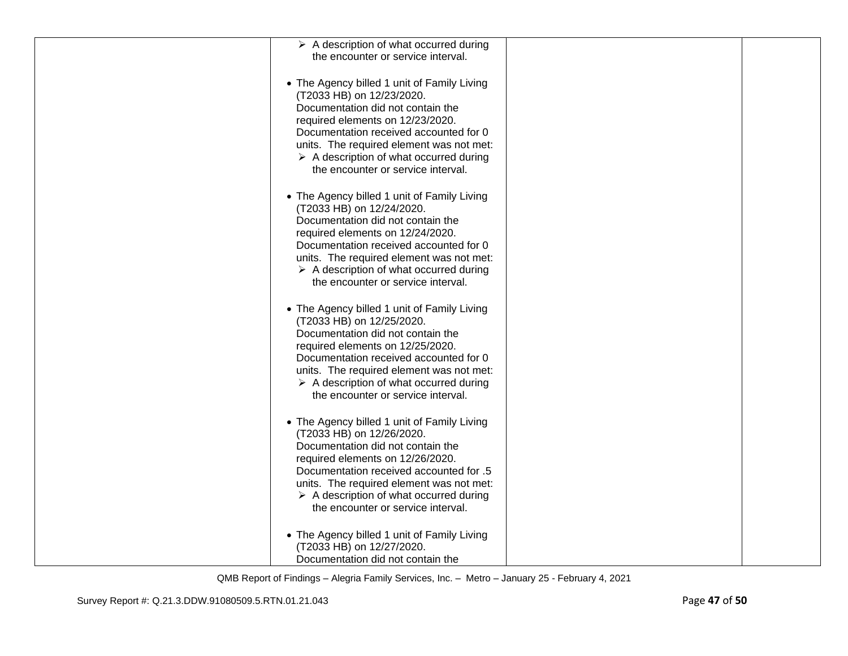| $\triangleright$ A description of what occurred during                                       |  |
|----------------------------------------------------------------------------------------------|--|
| the encounter or service interval.                                                           |  |
|                                                                                              |  |
| • The Agency billed 1 unit of Family Living                                                  |  |
| (T2033 HB) on 12/23/2020.                                                                    |  |
| Documentation did not contain the                                                            |  |
| required elements on 12/23/2020.                                                             |  |
| Documentation received accounted for 0                                                       |  |
| units. The required element was not met:                                                     |  |
| $\triangleright$ A description of what occurred during                                       |  |
| the encounter or service interval.                                                           |  |
|                                                                                              |  |
| • The Agency billed 1 unit of Family Living                                                  |  |
| (T2033 HB) on 12/24/2020.<br>Documentation did not contain the                               |  |
| required elements on 12/24/2020.                                                             |  |
| Documentation received accounted for 0                                                       |  |
| units. The required element was not met:                                                     |  |
| $\triangleright$ A description of what occurred during                                       |  |
| the encounter or service interval.                                                           |  |
|                                                                                              |  |
| • The Agency billed 1 unit of Family Living                                                  |  |
| (T2033 HB) on 12/25/2020.                                                                    |  |
| Documentation did not contain the                                                            |  |
| required elements on 12/25/2020.<br>Documentation received accounted for 0                   |  |
| units. The required element was not met:                                                     |  |
| $\triangleright$ A description of what occurred during                                       |  |
| the encounter or service interval.                                                           |  |
|                                                                                              |  |
| • The Agency billed 1 unit of Family Living                                                  |  |
| (T2033 HB) on 12/26/2020.                                                                    |  |
| Documentation did not contain the                                                            |  |
| required elements on 12/26/2020.                                                             |  |
| Documentation received accounted for .5                                                      |  |
| units. The required element was not met:                                                     |  |
| $\triangleright$ A description of what occurred during<br>the encounter or service interval. |  |
|                                                                                              |  |
| • The Agency billed 1 unit of Family Living                                                  |  |
| (T2033 HB) on 12/27/2020.                                                                    |  |
| Documentation did not contain the                                                            |  |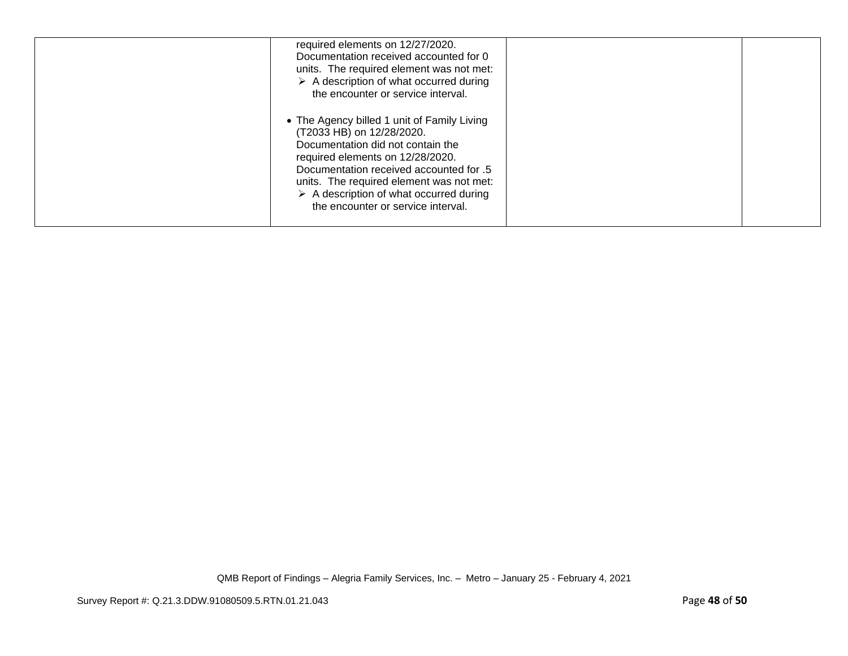| required elements on 12/27/2020.<br>Documentation received accounted for 0<br>units. The required element was not met:<br>$\triangleright$ A description of what occurred during<br>the encounter or service interval.                                                                                                                   |  |
|------------------------------------------------------------------------------------------------------------------------------------------------------------------------------------------------------------------------------------------------------------------------------------------------------------------------------------------|--|
| • The Agency billed 1 unit of Family Living<br>(T2033 HB) on 12/28/2020.<br>Documentation did not contain the<br>required elements on 12/28/2020.<br>Documentation received accounted for .5<br>units. The required element was not met:<br>$\triangleright$ A description of what occurred during<br>the encounter or service interval. |  |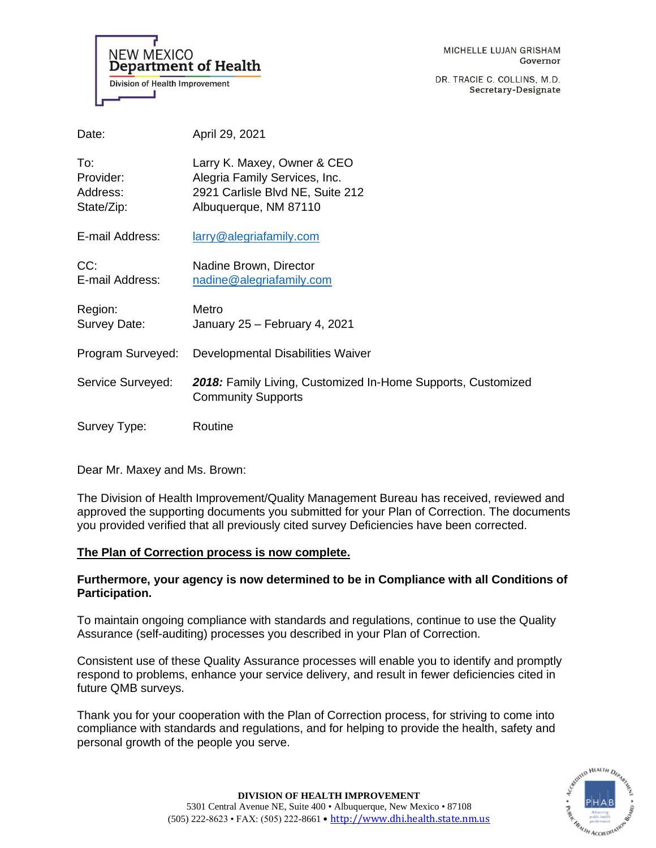**NEW MEXICO Department of Health Division of Health Improvement** 

DR. TRACIE C. COLLINS, M.D. Secretary-Designate

| Date:                                      | April 29, 2021                                                                                                            |
|--------------------------------------------|---------------------------------------------------------------------------------------------------------------------------|
| To:<br>Provider:<br>Address:<br>State/Zip: | Larry K. Maxey, Owner & CEO<br>Alegria Family Services, Inc.<br>2921 Carlisle Blvd NE, Suite 212<br>Albuquerque, NM 87110 |
| E-mail Address:                            | larry@alegriafamily.com                                                                                                   |
| CC:<br>E-mail Address:                     | Nadine Brown, Director<br>nadine@alegriafamily.com                                                                        |
| Region:<br>Survey Date:                    | Metro<br>January 25 - February 4, 2021                                                                                    |
| Program Surveyed:                          | Developmental Disabilities Waiver                                                                                         |
| Service Surveyed:                          | 2018: Family Living, Customized In-Home Supports, Customized<br><b>Community Supports</b>                                 |
| Survey Type:                               | Routine                                                                                                                   |

Dear Mr. Maxey and Ms. Brown:

The Division of Health Improvement/Quality Management Bureau has received, reviewed and approved the supporting documents you submitted for your Plan of Correction. The documents you provided verified that all previously cited survey Deficiencies have been corrected.

# **The Plan of Correction process is now complete.**

# **Furthermore, your agency is now determined to be in Compliance with all Conditions of Participation.**

To maintain ongoing compliance with standards and regulations, continue to use the Quality Assurance (self-auditing) processes you described in your Plan of Correction.

Consistent use of these Quality Assurance processes will enable you to identify and promptly respond to problems, enhance your service delivery, and result in fewer deficiencies cited in future QMB surveys.

Thank you for your cooperation with the Plan of Correction process, for striving to come into compliance with standards and regulations, and for helping to provide the health, safety and personal growth of the people you serve.